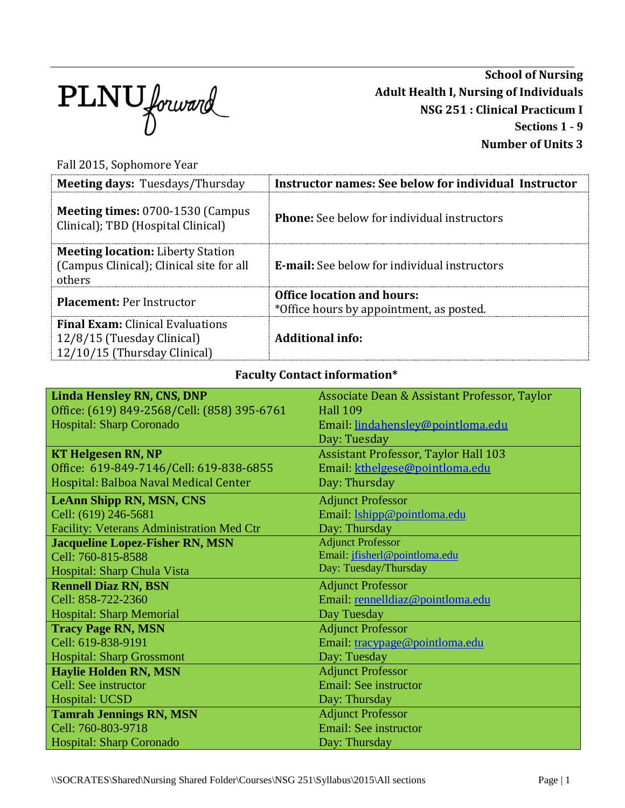

**School of Nursing Adult Health I, Nursing of Individuals NSG 251 : Clinical Practicum I Sections 1 - 9 Number of Units 3**

Fall 2015, Sophomore Year

| <b>Meeting days: Tuesdays/Thursday</b>                                                                | <b>Instructor names: See below for individual Instructor</b>                  |
|-------------------------------------------------------------------------------------------------------|-------------------------------------------------------------------------------|
| <b>Meeting times: 0700-1530 (Campus)</b><br>Clinical); TBD (Hospital Clinical)                        | <b>Phone:</b> See below for individual instructors                            |
| <b>Meeting location:</b> Liberty Station<br>(Campus Clinical); Clinical site for all<br>others        | <b>E-mail:</b> See below for individual instructors                           |
| <b>Placement: Per Instructor</b>                                                                      | <b>Office location and hours:</b><br>*Office hours by appointment, as posted. |
| <b>Final Exam:</b> Clinical Evaluations<br>12/8/15 (Tuesday Clinical)<br>12/10/15 (Thursday Clinical) | Additional info:                                                              |

## **Faculty Contact information\***

| <b>Linda Hensley RN, CNS, DNP</b>           | Associate Dean & Assistant Professor, Taylor |
|---------------------------------------------|----------------------------------------------|
| Office: (619) 849-2568/Cell: (858) 395-6761 | <b>Hall 109</b>                              |
| Hospital: Sharp Coronado                    | Email lindahensley@pointloma.edu             |
|                                             | Day: Tuesday                                 |
| <b>KT Helgesen RN, NP</b>                   | <b>Assistant Professor, Taylor Hall 103</b>  |
| Office: 619-849-7146/Cell: 619-838-6855     | Email: kthelgese@pointloma.edu               |
| Hospital: Balboa Naval Medical Center       | Day: Thursday                                |
| <b>LeAnn Shipp RN, MSN, CNS</b>             | <b>Adjunct Professor</b>                     |
| Cell: (619) 246-5681                        | Email: <i>Ishipp@pointloma.edu</i>           |
| Facility: Veterans Administration Med Ctr   | Day: Thursday                                |
| <b>Jacqueline Lopez-Fisher RN, MSN</b>      | <b>Adjunct Professor</b>                     |
| Cell: 760-815-8588                          | Email: jfisherl@pointloma.edu                |
| Hospital: Sharp Chula Vista                 | Day: Tuesday/Thursday                        |
| <b>Rennell Diaz RN, BSN</b>                 | <b>Adjunct Professor</b>                     |
| Cell: 858-722-2360                          | Email: rennelldiaz@pointloma.edu             |
| <b>Hospital: Sharp Memorial</b>             | Day Tuesday                                  |
| <b>Tracy Page RN, MSN</b>                   | <b>Adjunct Professor</b>                     |
| Cell: 619-838-9191                          | Email: tracypage@pointloma.edu               |
| <b>Hospital: Sharp Grossmont</b>            | Day: Tuesday                                 |
| <b>Haylie Holden RN, MSN</b>                | <b>Adjunct Professor</b>                     |
| Cell: See instructor                        | <b>Email: See instructor</b>                 |
| Hospital: UCSD                              | Day: Thursday                                |
| <b>Tamrah Jennings RN, MSN</b>              | <b>Adjunct Professor</b>                     |
| Cell: 760-803-9718                          | <b>Email: See instructor</b>                 |
| Hospital: Sharp Coronado                    | Day: Thursday                                |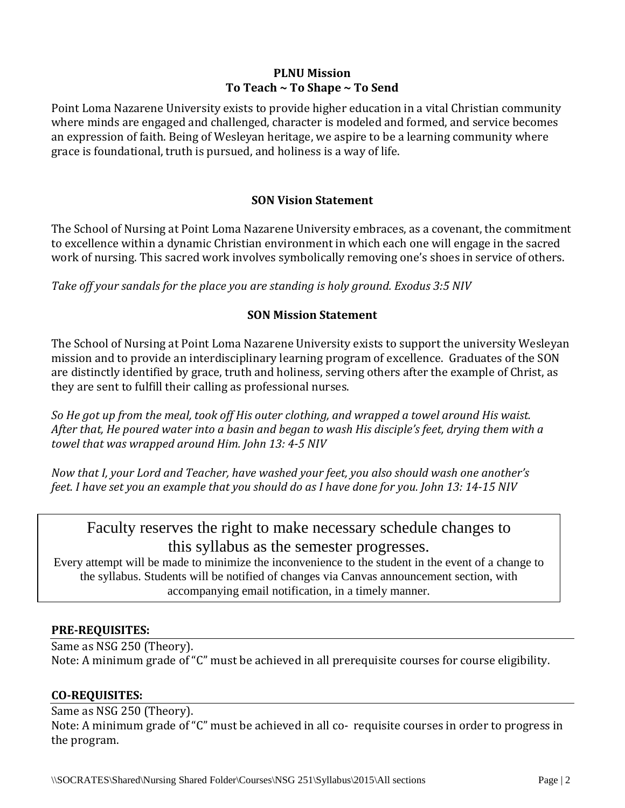#### **PLNU Mission To Teach ~ To Shape ~ To Send**

Point Loma Nazarene University exists to provide higher education in a vital Christian community where minds are engaged and challenged, character is modeled and formed, and service becomes an expression of faith. Being of Wesleyan heritage, we aspire to be a learning community where grace is foundational, truth is pursued, and holiness is a way of life.

#### **SON Vision Statement**

The School of Nursing at Point Loma Nazarene University embraces, as a covenant, the commitment to excellence within a dynamic Christian environment in which each one will engage in the sacred work of nursing. This sacred work involves symbolically removing one's shoes in service of others.

*Take off your sandals for the place you are standing is holy ground. Exodus 3:5 NIV* 

#### **SON Mission Statement**

The School of Nursing at Point Loma Nazarene University exists to support the university Wesleyan mission and to provide an interdisciplinary learning program of excellence. Graduates of the SON are distinctly identified by grace, truth and holiness, serving others after the example of Christ, as they are sent to fulfill their calling as professional nurses.

*So He got up from the meal, took off His outer clothing, and wrapped a towel around His waist. After that, He poured water into a basin and began to wash His disciple's feet, drying them with a towel that was wrapped around Him. John 13: 4-5 NIV* 

*Now that I, your Lord and Teacher, have washed your feet, you also should wash one another's feet. I have set you an example that you should do as I have done for you. John 13: 14-15 NIV* 

# Faculty reserves the right to make necessary schedule changes to this syllabus as the semester progresses.

Every attempt will be made to minimize the inconvenience to the student in the event of a change to the syllabus. Students will be notified of changes via Canvas announcement section, with accompanying email notification, in a timely manner.

#### **PRE-REQUISITES:**

Same as NSG 250 (Theory). Note: A minimum grade of "C" must be achieved in all prerequisite courses for course eligibility.

#### **CO-REQUISITES:**

Same as NSG 250 (Theory).

Note: A minimum grade of "C" must be achieved in all co- requisite courses in order to progress in the program.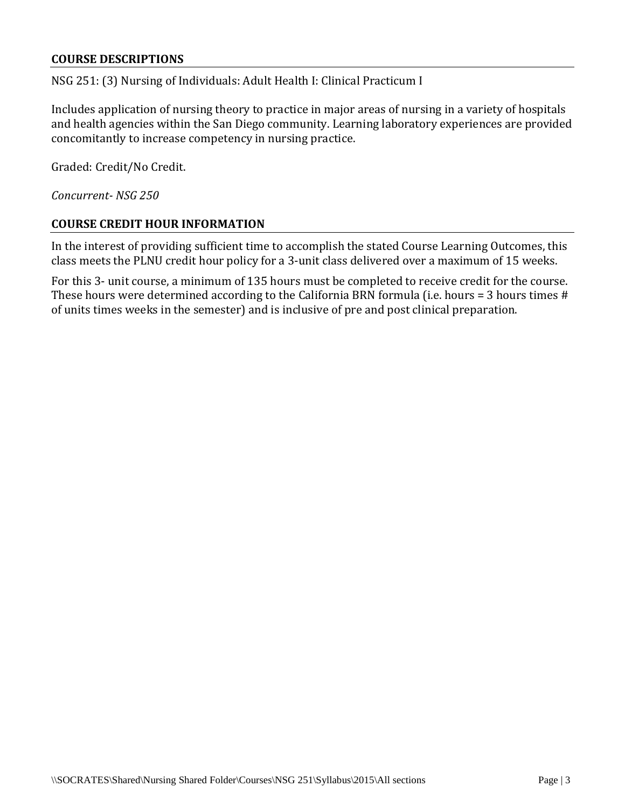#### **COURSE DESCRIPTIONS**

NSG 251: (3) Nursing of Individuals: Adult Health I: Clinical Practicum I

Includes application of nursing theory to practice in major areas of nursing in a variety of hospitals and health agencies within the San Diego community. Learning laboratory experiences are provided concomitantly to increase competency in nursing practice.

Graded: Credit/No Credit.

*Concurrent- NSG 250*

#### **COURSE CREDIT HOUR INFORMATION**

In the interest of providing sufficient time to accomplish the stated Course Learning Outcomes, this class meets the PLNU credit hour policy for a 3-unit class delivered over a maximum of 15 weeks.

For this 3- unit course, a minimum of 135 hours must be completed to receive credit for the course. These hours were determined according to the California BRN formula (i.e. hours = 3 hours times # of units times weeks in the semester) and is inclusive of pre and post clinical preparation.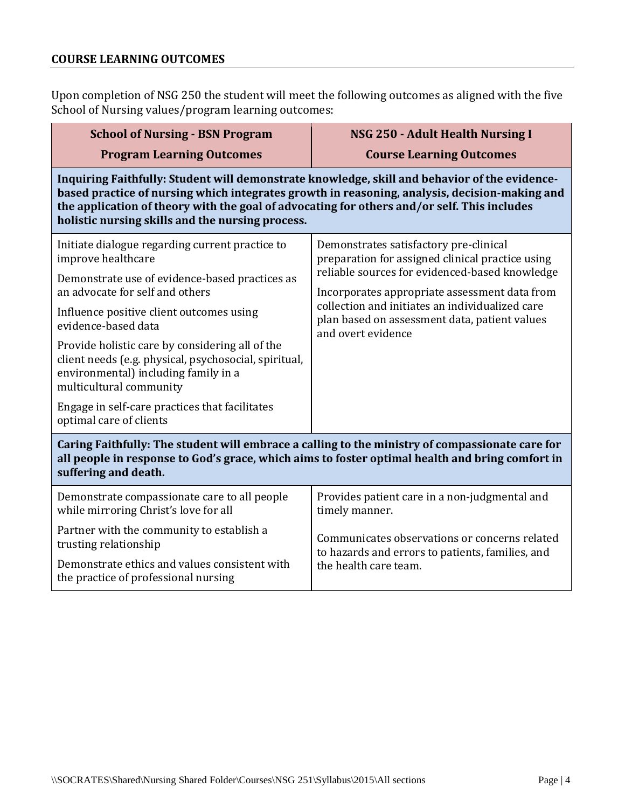## **COURSE LEARNING OUTCOMES**

Upon completion of NSG 250 the student will meet the following outcomes as aligned with the five School of Nursing values/program learning outcomes:

| <b>School of Nursing - BSN Program</b>                                                                                                                                                                                                                                                                                                            | <b>NSG 250 - Adult Health Nursing I</b>                                                                                    |  |  |
|---------------------------------------------------------------------------------------------------------------------------------------------------------------------------------------------------------------------------------------------------------------------------------------------------------------------------------------------------|----------------------------------------------------------------------------------------------------------------------------|--|--|
| <b>Program Learning Outcomes</b>                                                                                                                                                                                                                                                                                                                  | <b>Course Learning Outcomes</b>                                                                                            |  |  |
| Inquiring Faithfully: Student will demonstrate knowledge, skill and behavior of the evidence-<br>based practice of nursing which integrates growth in reasoning, analysis, decision-making and<br>the application of theory with the goal of advocating for others and/or self. This includes<br>holistic nursing skills and the nursing process. |                                                                                                                            |  |  |
| Initiate dialogue regarding current practice to<br>improve healthcare                                                                                                                                                                                                                                                                             | Demonstrates satisfactory pre-clinical<br>preparation for assigned clinical practice using                                 |  |  |
| Demonstrate use of evidence-based practices as<br>an advocate for self and others                                                                                                                                                                                                                                                                 | reliable sources for evidenced-based knowledge<br>Incorporates appropriate assessment data from                            |  |  |
| Influence positive client outcomes using<br>evidence-based data                                                                                                                                                                                                                                                                                   | collection and initiates an individualized care<br>plan based on assessment data, patient values<br>and overt evidence     |  |  |
| Provide holistic care by considering all of the<br>client needs (e.g. physical, psychosocial, spiritual,<br>environmental) including family in a<br>multicultural community                                                                                                                                                                       |                                                                                                                            |  |  |
| Engage in self-care practices that facilitates<br>optimal care of clients                                                                                                                                                                                                                                                                         |                                                                                                                            |  |  |
| Caring Faithfully: The student will embrace a calling to the ministry of compassionate care for<br>all people in response to God's grace, which aims to foster optimal health and bring comfort in<br>suffering and death.                                                                                                                        |                                                                                                                            |  |  |
| Demonstrate compassionate care to all people<br>while mirroring Christ's love for all                                                                                                                                                                                                                                                             | Provides patient care in a non-judgmental and<br>timely manner.                                                            |  |  |
| Partner with the community to establish a<br>trusting relationship                                                                                                                                                                                                                                                                                | Communicates observations or concerns related<br>to hazards and errors to patients, families, and<br>the health care team. |  |  |
| Demonstrate ethics and values consistent with<br>the practice of professional nursing                                                                                                                                                                                                                                                             |                                                                                                                            |  |  |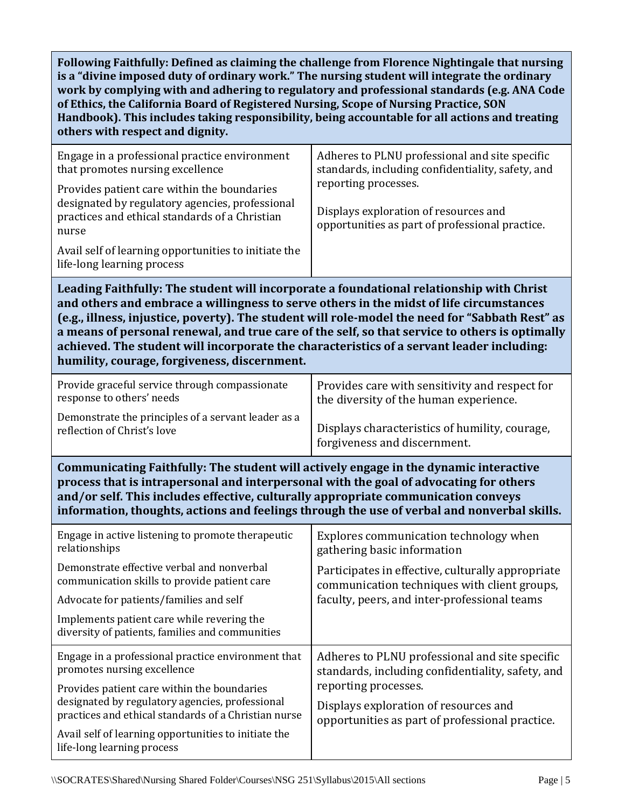**Following Faithfully: Defined as claiming the challenge from Florence Nightingale that nursing is a "divine imposed duty of ordinary work." The nursing student will integrate the ordinary work by complying with and adhering to regulatory and professional standards (e.g. ANA Code of Ethics, the California Board of Registered Nursing, Scope of Nursing Practice, SON Handbook). This includes taking responsibility, being accountable for all actions and treating others with respect and dignity.**

| Engage in a professional practice environment<br>that promotes nursing excellence                                                                         | Adheres to PLNU professional and site specific<br>standards, including confidentiality, safety, and              |
|-----------------------------------------------------------------------------------------------------------------------------------------------------------|------------------------------------------------------------------------------------------------------------------|
| Provides patient care within the boundaries<br>designated by regulatory agencies, professional<br>practices and ethical standards of a Christian<br>nurse | reporting processes.<br>Displays exploration of resources and<br>opportunities as part of professional practice. |
| Avail self of learning opportunities to initiate the<br>life-long learning process                                                                        |                                                                                                                  |

**Leading Faithfully: The student will incorporate a foundational relationship with Christ and others and embrace a willingness to serve others in the midst of life circumstances (e.g., illness, injustice, poverty). The student will role-model the need for "Sabbath Rest" as a means of personal renewal, and true care of the self, so that service to others is optimally achieved. The student will incorporate the characteristics of a servant leader including: humility, courage, forgiveness, discernment.**

| Provide graceful service through compassionate      | Provides care with sensitivity and respect for |
|-----------------------------------------------------|------------------------------------------------|
| response to others' needs                           | the diversity of the human experience.         |
| Demonstrate the principles of a servant leader as a | Displays characteristics of humility, courage, |
| reflection of Christ's love                         | forgiveness and discernment.                   |

**Communicating Faithfully: The student will actively engage in the dynamic interactive process that is intrapersonal and interpersonal with the goal of advocating for others and/or self. This includes effective, culturally appropriate communication conveys information, thoughts, actions and feelings through the use of verbal and nonverbal skills.**

| Engage in active listening to promote therapeutic<br>relationships                                      | Explores communication technology when<br>gathering basic information                                                                             |  |
|---------------------------------------------------------------------------------------------------------|---------------------------------------------------------------------------------------------------------------------------------------------------|--|
| Demonstrate effective verbal and nonverbal<br>communication skills to provide patient care              | Participates in effective, culturally appropriate<br>communication techniques with client groups,<br>faculty, peers, and inter-professional teams |  |
| Advocate for patients/families and self                                                                 |                                                                                                                                                   |  |
| Implements patient care while revering the<br>diversity of patients, families and communities           |                                                                                                                                                   |  |
| Engage in a professional practice environment that<br>promotes nursing excellence                       | Adheres to PLNU professional and site specific<br>standards, including confidentiality, safety, and                                               |  |
| Provides patient care within the boundaries                                                             | reporting processes.                                                                                                                              |  |
| designated by regulatory agencies, professional<br>practices and ethical standards of a Christian nurse | Displays exploration of resources and<br>opportunities as part of professional practice.                                                          |  |
| Avail self of learning opportunities to initiate the<br>life-long learning process                      |                                                                                                                                                   |  |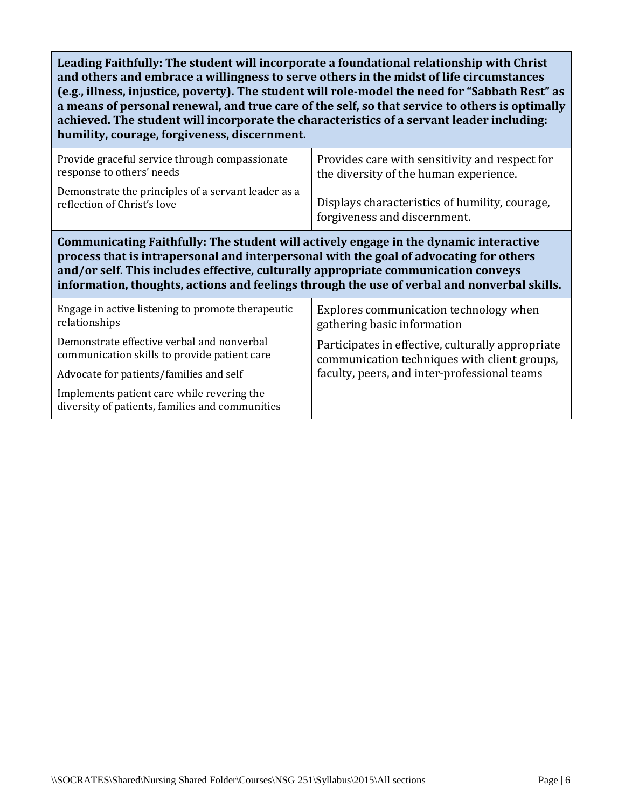**Leading Faithfully: The student will incorporate a foundational relationship with Christ and others and embrace a willingness to serve others in the midst of life circumstances (e.g., illness, injustice, poverty). The student will role-model the need for "Sabbath Rest" as a means of personal renewal, and true care of the self, so that service to others is optimally achieved. The student will incorporate the characteristics of a servant leader including: humility, courage, forgiveness, discernment.**

| Provide graceful service through compassionate<br>response to others' needs                                                                                                                                                                                                                                                                                          | Provides care with sensitivity and respect for<br>the diversity of the human experience.<br>Displays characteristics of humility, courage,<br>forgiveness and discernment. |  |
|----------------------------------------------------------------------------------------------------------------------------------------------------------------------------------------------------------------------------------------------------------------------------------------------------------------------------------------------------------------------|----------------------------------------------------------------------------------------------------------------------------------------------------------------------------|--|
| Demonstrate the principles of a servant leader as a<br>reflection of Christ's love                                                                                                                                                                                                                                                                                   |                                                                                                                                                                            |  |
| Communicating Faithfully: The student will actively engage in the dynamic interactive<br>process that is intrapersonal and interpersonal with the goal of advocating for others<br>and/or self. This includes effective, culturally appropriate communication conveys<br>information, thoughts, actions and feelings through the use of verbal and nonverbal skills. |                                                                                                                                                                            |  |
| Engage in active listening to promote therapeutic<br>relationships                                                                                                                                                                                                                                                                                                   | Explores communication technology when<br>gathering basic information                                                                                                      |  |
| Demonstrate effective verbal and nonverbal<br>communication skills to provide patient care                                                                                                                                                                                                                                                                           | Participates in effective, culturally appropriate<br>communication techniques with client groups,                                                                          |  |
| Advocate for patients/families and self                                                                                                                                                                                                                                                                                                                              | faculty, peers, and inter-professional teams                                                                                                                               |  |
| Implements patient care while revering the<br>diversity of patients, families and communities                                                                                                                                                                                                                                                                        |                                                                                                                                                                            |  |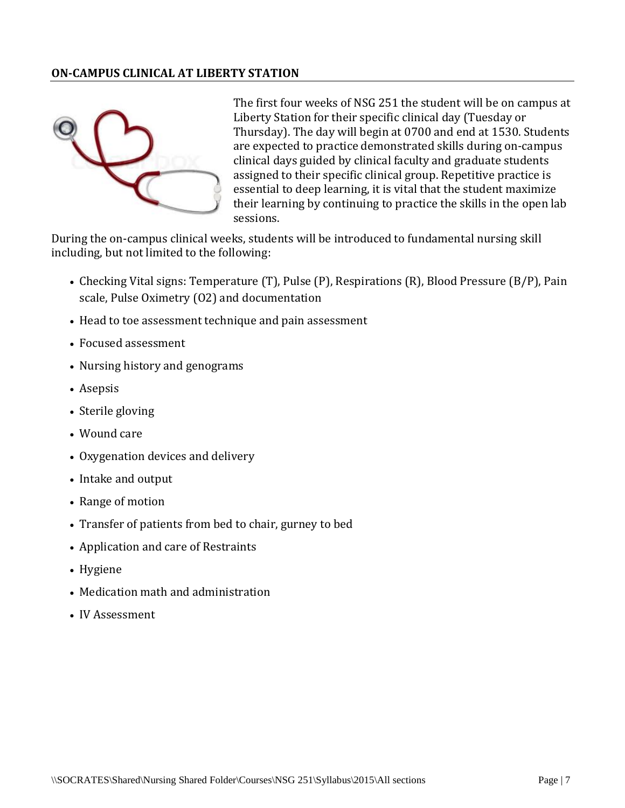#### **ON-CAMPUS CLINICAL AT LIBERTY STATION**



The first four weeks of NSG 251 the student will be on campus at Liberty Station for their specific clinical day (Tuesday or Thursday). The day will begin at 0700 and end at 1530. Students are expected to practice demonstrated skills during on-campus clinical days guided by clinical faculty and graduate students assigned to their specific clinical group. Repetitive practice is essential to deep learning, it is vital that the student maximize their learning by continuing to practice the skills in the open lab sessions.

During the on-campus clinical weeks, students will be introduced to fundamental nursing skill including, but not limited to the following:

- Checking Vital signs: Temperature (T), Pulse (P), Respirations (R), Blood Pressure (B/P), Pain scale, Pulse Oximetry (O2) and documentation
- Head to toe assessment technique and pain assessment
- Focused assessment
- Nursing history and genograms
- Asepsis
- Sterile gloving
- Wound care
- Oxygenation devices and delivery
- Intake and output
- Range of motion
- Transfer of patients from bed to chair, gurney to bed
- Application and care of Restraints
- Hygiene
- Medication math and administration
- IV Assessment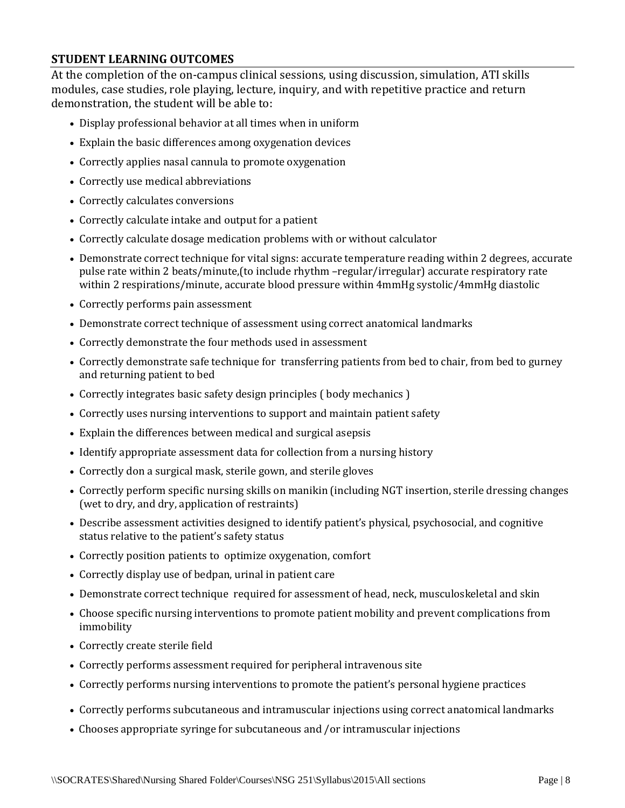#### **STUDENT LEARNING OUTCOMES**

At the completion of the on-campus clinical sessions, using discussion, simulation, ATI skills modules, case studies, role playing, lecture, inquiry, and with repetitive practice and return demonstration, the student will be able to:

- Display professional behavior at all times when in uniform
- Explain the basic differences among oxygenation devices
- Correctly applies nasal cannula to promote oxygenation
- Correctly use medical abbreviations
- Correctly calculates conversions
- Correctly calculate intake and output for a patient
- Correctly calculate dosage medication problems with or without calculator
- Demonstrate correct technique for vital signs: accurate temperature reading within 2 degrees, accurate pulse rate within 2 beats/minute,(to include rhythm –regular/irregular) accurate respiratory rate within 2 respirations/minute, accurate blood pressure within 4mmHg systolic/4mmHg diastolic
- Correctly performs pain assessment
- Demonstrate correct technique of assessment using correct anatomical landmarks
- Correctly demonstrate the four methods used in assessment
- Correctly demonstrate safe technique for transferring patients from bed to chair, from bed to gurney and returning patient to bed
- Correctly integrates basic safety design principles ( body mechanics )
- Correctly uses nursing interventions to support and maintain patient safety
- Explain the differences between medical and surgical asepsis
- Identify appropriate assessment data for collection from a nursing history
- Correctly don a surgical mask, sterile gown, and sterile gloves
- Correctly perform specific nursing skills on manikin (including NGT insertion, sterile dressing changes (wet to dry, and dry, application of restraints)
- Describe assessment activities designed to identify patient's physical, psychosocial, and cognitive status relative to the patient's safety status
- Correctly position patients to optimize oxygenation, comfort
- Correctly display use of bedpan, urinal in patient care
- Demonstrate correct technique required for assessment of head, neck, musculoskeletal and skin
- Choose specific nursing interventions to promote patient mobility and prevent complications from immobility
- Correctly create sterile field
- Correctly performs assessment required for peripheral intravenous site
- Correctly performs nursing interventions to promote the patient's personal hygiene practices
- Correctly performs subcutaneous and intramuscular injections using correct anatomical landmarks
- Chooses appropriate syringe for subcutaneous and /or intramuscular injections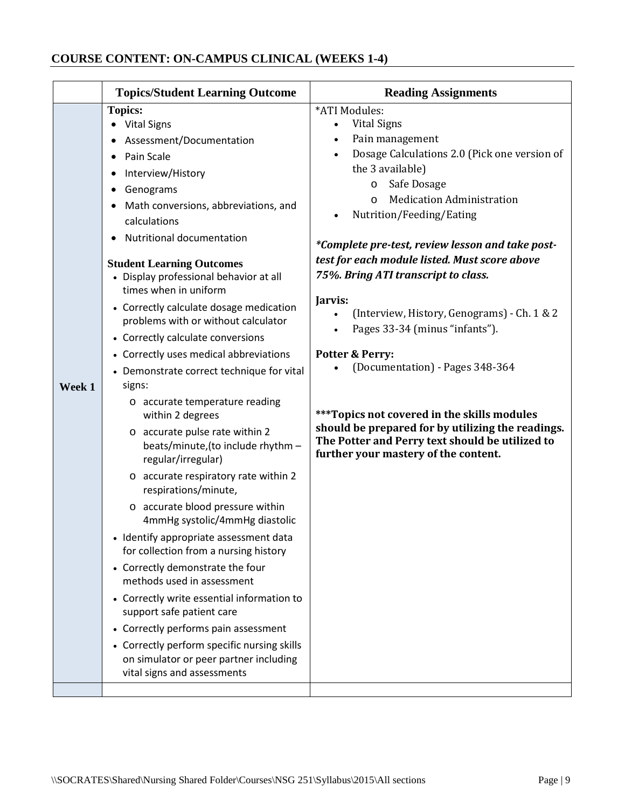# **COURSE CONTENT: ON-CAMPUS CLINICAL (WEEKS 1-4)**

|        | <b>Topics/Student Learning Outcome</b>                                                                                                                                                                                                                                                                                                                                                                                                                                                                                                                                                                                                                                                                                                                                                                                                                                                                                                                                                                                                                                                                                                                                                                                                  | <b>Reading Assignments</b>                                                                                                                                                                                                                                                                                                                                                                                                                                                                                                                                                                                                                                                                                                                           |
|--------|-----------------------------------------------------------------------------------------------------------------------------------------------------------------------------------------------------------------------------------------------------------------------------------------------------------------------------------------------------------------------------------------------------------------------------------------------------------------------------------------------------------------------------------------------------------------------------------------------------------------------------------------------------------------------------------------------------------------------------------------------------------------------------------------------------------------------------------------------------------------------------------------------------------------------------------------------------------------------------------------------------------------------------------------------------------------------------------------------------------------------------------------------------------------------------------------------------------------------------------------|------------------------------------------------------------------------------------------------------------------------------------------------------------------------------------------------------------------------------------------------------------------------------------------------------------------------------------------------------------------------------------------------------------------------------------------------------------------------------------------------------------------------------------------------------------------------------------------------------------------------------------------------------------------------------------------------------------------------------------------------------|
| Week 1 | <b>Topics:</b><br>• Vital Signs<br>Assessment/Documentation<br>Pain Scale<br>٠<br>Interview/History<br>٠<br>Genograms<br>٠<br>Math conversions, abbreviations, and<br>calculations<br>Nutritional documentation<br><b>Student Learning Outcomes</b><br>• Display professional behavior at all<br>times when in uniform<br>• Correctly calculate dosage medication<br>problems with or without calculator<br>• Correctly calculate conversions<br>• Correctly uses medical abbreviations<br>• Demonstrate correct technique for vital<br>signs:<br>o accurate temperature reading<br>within 2 degrees<br>o accurate pulse rate within 2<br>beats/minute,(to include rhythm -<br>regular/irregular)<br>o accurate respiratory rate within 2<br>respirations/minute,<br>o accurate blood pressure within<br>4mmHg systolic/4mmHg diastolic<br>• Identify appropriate assessment data<br>for collection from a nursing history<br>• Correctly demonstrate the four<br>methods used in assessment<br>• Correctly write essential information to<br>support safe patient care<br>• Correctly performs pain assessment<br>• Correctly perform specific nursing skills<br>on simulator or peer partner including<br>vital signs and assessments | *ATI Modules:<br><b>Vital Signs</b><br>$\bullet$<br>Pain management<br>Dosage Calculations 2.0 (Pick one version of<br>the 3 available)<br>Safe Dosage<br>$\circ$<br><b>Medication Administration</b><br>$\circ$<br>Nutrition/Feeding/Eating<br>*Complete pre-test, review lesson and take post-<br>test for each module listed. Must score above<br>75%. Bring ATI transcript to class.<br>Jarvis:<br>(Interview, History, Genograms) - Ch. 1 & 2<br>Pages 33-34 (minus "infants").<br><b>Potter &amp; Perry:</b><br>(Documentation) - Pages 348-364<br>***Topics not covered in the skills modules<br>should be prepared for by utilizing the readings.<br>The Potter and Perry text should be utilized to<br>further your mastery of the content. |
|        |                                                                                                                                                                                                                                                                                                                                                                                                                                                                                                                                                                                                                                                                                                                                                                                                                                                                                                                                                                                                                                                                                                                                                                                                                                         |                                                                                                                                                                                                                                                                                                                                                                                                                                                                                                                                                                                                                                                                                                                                                      |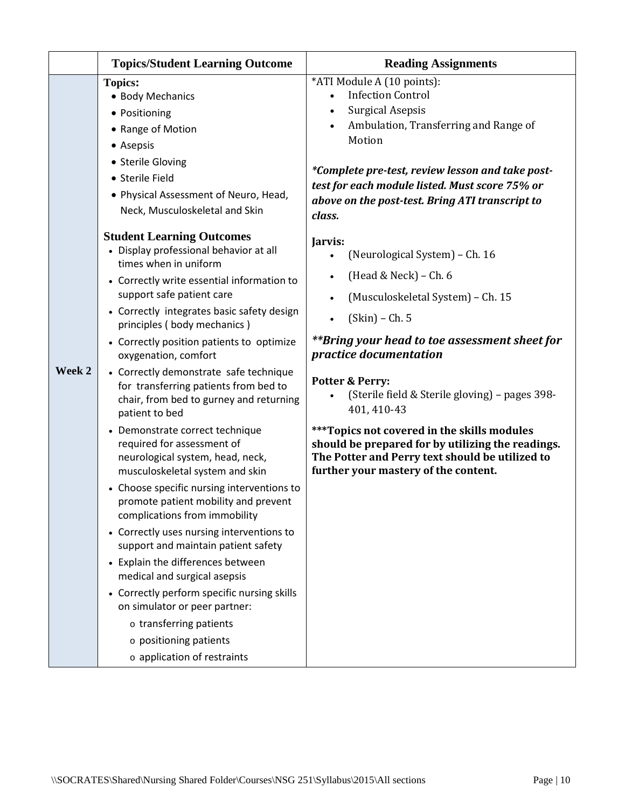|        | <b>Topics/Student Learning Outcome</b>                                                                                                                                                                                                                                                                                                                                                                                                                                                                                                                                                                                                                                                                                                                                                                                                                                                                                                                                                                                                                                                   | <b>Reading Assignments</b>                                                                                                                                                                                                                                                                                                                                                                                                                                                                                                      |  |
|--------|------------------------------------------------------------------------------------------------------------------------------------------------------------------------------------------------------------------------------------------------------------------------------------------------------------------------------------------------------------------------------------------------------------------------------------------------------------------------------------------------------------------------------------------------------------------------------------------------------------------------------------------------------------------------------------------------------------------------------------------------------------------------------------------------------------------------------------------------------------------------------------------------------------------------------------------------------------------------------------------------------------------------------------------------------------------------------------------|---------------------------------------------------------------------------------------------------------------------------------------------------------------------------------------------------------------------------------------------------------------------------------------------------------------------------------------------------------------------------------------------------------------------------------------------------------------------------------------------------------------------------------|--|
|        | <b>Topics:</b><br>• Body Mechanics<br>• Positioning<br>• Range of Motion<br>• Asepsis<br>• Sterile Gloving<br>• Sterile Field<br>• Physical Assessment of Neuro, Head,<br>Neck, Musculoskeletal and Skin                                                                                                                                                                                                                                                                                                                                                                                                                                                                                                                                                                                                                                                                                                                                                                                                                                                                                 | *ATI Module A (10 points):<br><b>Infection Control</b><br><b>Surgical Asepsis</b><br>Ambulation, Transferring and Range of<br>$\bullet$<br>Motion<br>*Complete pre-test, review lesson and take post-<br>test for each module listed. Must score 75% or<br>above on the post-test. Bring ATI transcript to<br>class.                                                                                                                                                                                                            |  |
| Week 2 | <b>Student Learning Outcomes</b><br>• Display professional behavior at all<br>times when in uniform<br>• Correctly write essential information to<br>support safe patient care<br>• Correctly integrates basic safety design<br>principles (body mechanics)<br>• Correctly position patients to optimize<br>oxygenation, comfort<br>• Correctly demonstrate safe technique<br>for transferring patients from bed to<br>chair, from bed to gurney and returning<br>patient to bed<br>• Demonstrate correct technique<br>required for assessment of<br>neurological system, head, neck,<br>musculoskeletal system and skin<br>• Choose specific nursing interventions to<br>promote patient mobility and prevent<br>complications from immobility<br>• Correctly uses nursing interventions to<br>support and maintain patient safety<br>• Explain the differences between<br>medical and surgical asepsis<br>• Correctly perform specific nursing skills<br>on simulator or peer partner:<br>$\circ$ transferring patients<br>o positioning patients<br>$\circ$ application of restraints | Jarvis:<br>(Neurological System) - Ch. 16<br>(Head & Neck) - Ch. 6<br>$\bullet$<br>(Musculoskeletal System) - Ch. 15<br>$(Skin)$ – Ch. 5<br>$\bullet$<br>**Bring your head to toe assessment sheet for<br>practice documentation<br><b>Potter &amp; Perry:</b><br>(Sterile field & Sterile gloving) - pages 398-<br>401, 410-43<br>*** Topics not covered in the skills modules<br>should be prepared for by utilizing the readings.<br>The Potter and Perry text should be utilized to<br>further your mastery of the content. |  |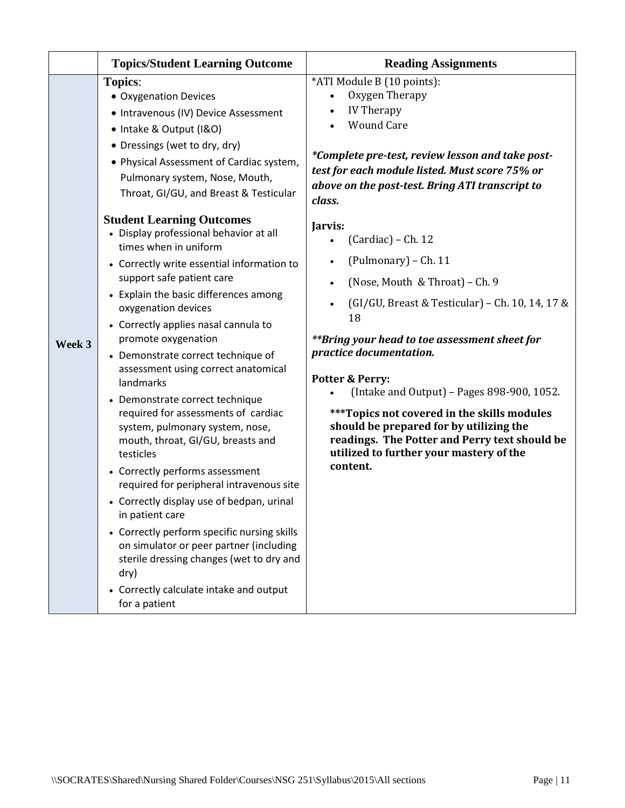|                                                                     | <b>Topics/Student Learning Outcome</b>                                                                                                                                                                                                                                                                  | <b>Reading Assignments</b>                                                                                                                                                                                                                                |  |
|---------------------------------------------------------------------|---------------------------------------------------------------------------------------------------------------------------------------------------------------------------------------------------------------------------------------------------------------------------------------------------------|-----------------------------------------------------------------------------------------------------------------------------------------------------------------------------------------------------------------------------------------------------------|--|
|                                                                     | <b>Topics:</b><br>• Oxygenation Devices<br>• Intravenous (IV) Device Assessment<br>• Intake & Output (I&O)<br>• Dressings (wet to dry, dry)<br>• Physical Assessment of Cardiac system,<br>Pulmonary system, Nose, Mouth,<br>Throat, GI/GU, and Breast & Testicular<br><b>Student Learning Outcomes</b> | *ATI Module B (10 points):<br>Oxygen Therapy<br><b>IV Therapy</b><br><b>Wound Care</b><br>*Complete pre-test, review lesson and take post-<br>test for each module listed. Must score 75% or<br>above on the post-test. Bring ATI transcript to<br>class. |  |
|                                                                     | • Display professional behavior at all<br>times when in uniform                                                                                                                                                                                                                                         | Jarvis:<br>$(Cardiac) - Ch. 12$                                                                                                                                                                                                                           |  |
|                                                                     | • Correctly write essential information to<br>support safe patient care                                                                                                                                                                                                                                 | (Pulmonary) - Ch. 11<br>(Nose, Mouth & Throat) - Ch. 9                                                                                                                                                                                                    |  |
|                                                                     | • Explain the basic differences among<br>oxygenation devices<br>• Correctly applies nasal cannula to                                                                                                                                                                                                    | (GI/GU, Breast & Testicular) - Ch. 10, 14, 17 &<br>$\bullet$<br>18                                                                                                                                                                                        |  |
| Week 3<br>landmarks<br>• Demonstrate correct technique<br>testicles | promote oxygenation<br>• Demonstrate correct technique of<br>assessment using correct anatomical                                                                                                                                                                                                        | **Bring your head to toe assessment sheet for<br>practice documentation.<br>Potter & Perry:<br>(Intake and Output) - Pages 898-900, 1052.                                                                                                                 |  |
|                                                                     | required for assessments of cardiac<br>system, pulmonary system, nose,<br>mouth, throat, GI/GU, breasts and                                                                                                                                                                                             | *** Topics not covered in the skills modules<br>should be prepared for by utilizing the<br>readings. The Potter and Perry text should be<br>utilized to further your mastery of the                                                                       |  |
|                                                                     | • Correctly performs assessment<br>required for peripheral intravenous site                                                                                                                                                                                                                             | content.                                                                                                                                                                                                                                                  |  |
|                                                                     | • Correctly display use of bedpan, urinal<br>in patient care                                                                                                                                                                                                                                            |                                                                                                                                                                                                                                                           |  |
|                                                                     | • Correctly perform specific nursing skills<br>on simulator or peer partner (including<br>sterile dressing changes (wet to dry and<br>dry)                                                                                                                                                              |                                                                                                                                                                                                                                                           |  |
|                                                                     | • Correctly calculate intake and output<br>for a patient                                                                                                                                                                                                                                                |                                                                                                                                                                                                                                                           |  |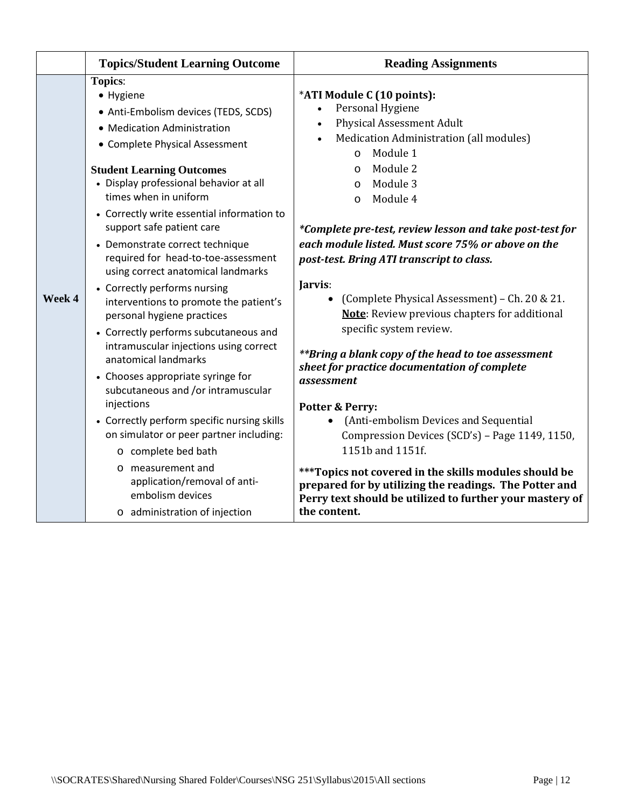|        | <b>Topics/Student Learning Outcome</b>                                                                                                                                                                                                                                                                                                                                                                                                                                                                                                                                                                                                                                                                                                                                                                                                                                                                                                                                                  | <b>Reading Assignments</b>                                                                                                                                                                                                                                                                                                                                                                                                                                                                                                                                                                                                                                                                                                                                                                                                                                                                                                                                                                                             |
|--------|-----------------------------------------------------------------------------------------------------------------------------------------------------------------------------------------------------------------------------------------------------------------------------------------------------------------------------------------------------------------------------------------------------------------------------------------------------------------------------------------------------------------------------------------------------------------------------------------------------------------------------------------------------------------------------------------------------------------------------------------------------------------------------------------------------------------------------------------------------------------------------------------------------------------------------------------------------------------------------------------|------------------------------------------------------------------------------------------------------------------------------------------------------------------------------------------------------------------------------------------------------------------------------------------------------------------------------------------------------------------------------------------------------------------------------------------------------------------------------------------------------------------------------------------------------------------------------------------------------------------------------------------------------------------------------------------------------------------------------------------------------------------------------------------------------------------------------------------------------------------------------------------------------------------------------------------------------------------------------------------------------------------------|
| Week 4 | <b>Topics:</b><br>• Hygiene<br>• Anti-Embolism devices (TEDS, SCDS)<br>• Medication Administration<br>• Complete Physical Assessment<br><b>Student Learning Outcomes</b><br>• Display professional behavior at all<br>times when in uniform<br>• Correctly write essential information to<br>support safe patient care<br>• Demonstrate correct technique<br>required for head-to-toe-assessment<br>using correct anatomical landmarks<br>• Correctly performs nursing<br>interventions to promote the patient's<br>personal hygiene practices<br>• Correctly performs subcutaneous and<br>intramuscular injections using correct<br>anatomical landmarks<br>• Chooses appropriate syringe for<br>subcutaneous and /or intramuscular<br>injections<br>• Correctly perform specific nursing skills<br>on simulator or peer partner including:<br>o complete bed bath<br>measurement and<br>$\Omega$<br>application/removal of anti-<br>embolism devices<br>o administration of injection | *ATI Module C (10 points):<br>Personal Hygiene<br><b>Physical Assessment Adult</b><br>Medication Administration (all modules)<br>Module 1<br>$\Omega$<br>Module 2<br>$\circ$<br>Module 3<br>$\circ$<br>Module 4<br>$\circ$<br>*Complete pre-test, review lesson and take post-test for<br>each module listed. Must score 75% or above on the<br>post-test. Bring ATI transcript to class.<br>Jarvis:<br>(Complete Physical Assessment) - Ch. 20 & 21.<br><b>Note:</b> Review previous chapters for additional<br>specific system review.<br>**Bring a blank copy of the head to toe assessment<br>sheet for practice documentation of complete<br>assessment<br><b>Potter &amp; Perry:</b><br>(Anti-embolism Devices and Sequential<br>$\bullet$<br>Compression Devices (SCD's) - Page 1149, 1150,<br>1151b and 1151f.<br>*** Topics not covered in the skills modules should be<br>prepared for by utilizing the readings. The Potter and<br>Perry text should be utilized to further your mastery of<br>the content. |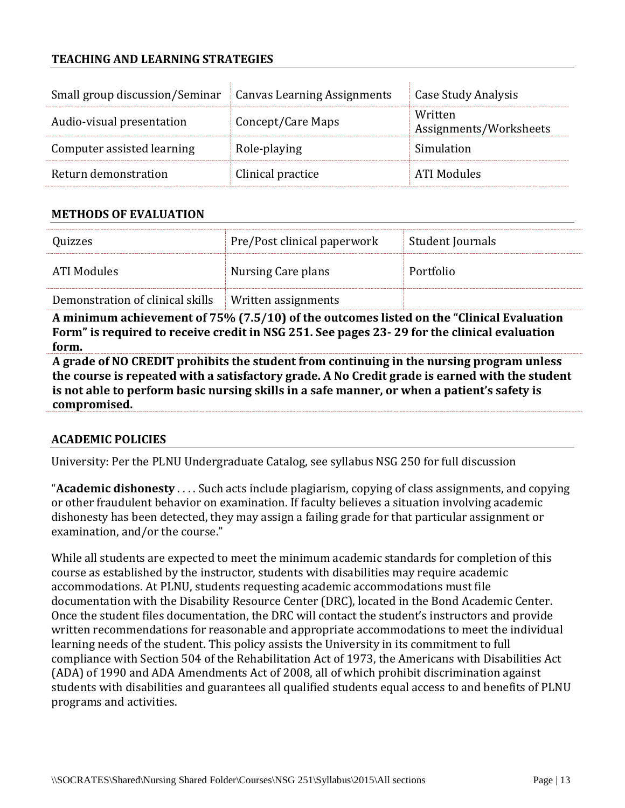### **TEACHING AND LEARNING STRATEGIES**

| Small group discussion/Seminar   Canvas Learning Assignments |                   | Case Study Analysis               |
|--------------------------------------------------------------|-------------------|-----------------------------------|
| Audio-visual presentation                                    | Concept/Care Maps | Written<br>Assignments/Worksheets |
| Computer assisted learning                                   | Role-playing      | Simulation                        |
| Return demonstration                                         | Clinical practice | ATI Modules                       |

#### **METHODS OF EVALUATION**

| Quizzes                          | Pre/Post clinical paperwork | Student Journals |
|----------------------------------|-----------------------------|------------------|
| - ATI Modules                    | Nursing Care plans          | Portfolio        |
| Demonstration of clinical skills | Written assignments         |                  |

**A minimum achievement of 75% (7.5/10) of the outcomes listed on the "Clinical Evaluation Form" is required to receive credit in NSG 251. See pages 23- 29 for the clinical evaluation form.**

**A grade of NO CREDIT prohibits the student from continuing in the nursing program unless the course is repeated with a satisfactory grade. A No Credit grade is earned with the student is not able to perform basic nursing skills in a safe manner, or when a patient's safety is compromised.**

#### **ACADEMIC POLICIES**

University: Per the PLNU Undergraduate Catalog, see syllabus NSG 250 for full discussion

"**Academic dishonesty** . . . . Such acts include plagiarism, copying of class assignments, and copying or other fraudulent behavior on examination. If faculty believes a situation involving academic dishonesty has been detected, they may assign a failing grade for that particular assignment or examination, and/or the course."

While all students are expected to meet the minimum academic standards for completion of this course as established by the instructor, students with disabilities may require academic accommodations. At PLNU, students requesting academic accommodations must file documentation with the Disability Resource Center (DRC), located in the Bond Academic Center. Once the student files documentation, the DRC will contact the student's instructors and provide written recommendations for reasonable and appropriate accommodations to meet the individual learning needs of the student. This policy assists the University in its commitment to full compliance with Section 504 of the Rehabilitation Act of 1973, the Americans with Disabilities Act (ADA) of 1990 and ADA Amendments Act of 2008, all of which prohibit discrimination against students with disabilities and guarantees all qualified students equal access to and benefits of PLNU programs and activities.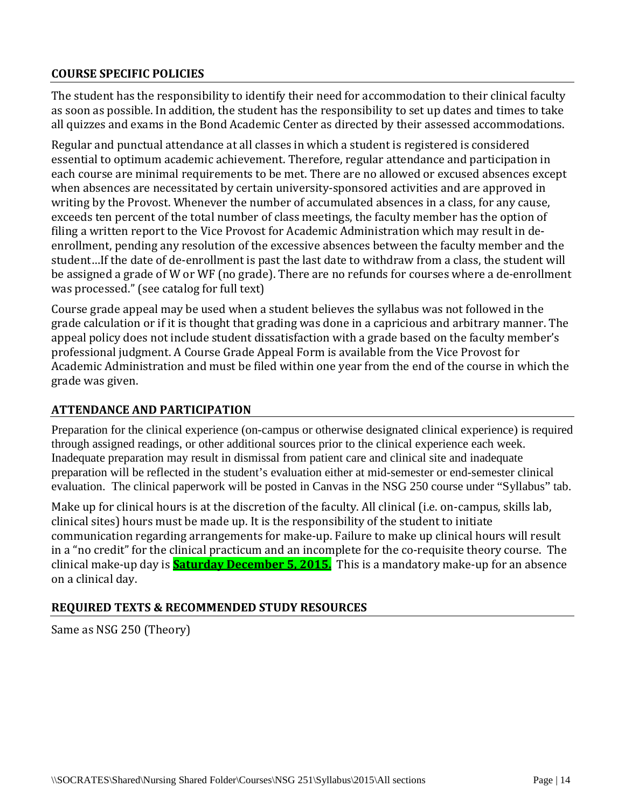### **COURSE SPECIFIC POLICIES**

The student has the responsibility to identify their need for accommodation to their clinical faculty as soon as possible. In addition, the student has the responsibility to set up dates and times to take all quizzes and exams in the Bond Academic Center as directed by their assessed accommodations.

Regular and punctual attendance at all classes in which a student is registered is considered essential to optimum academic achievement. Therefore, regular attendance and participation in each course are minimal requirements to be met. There are no allowed or excused absences except when absences are necessitated by certain university-sponsored activities and are approved in writing by the Provost. Whenever the number of accumulated absences in a class, for any cause, exceeds ten percent of the total number of class meetings, the faculty member has the option of filing a written report to the Vice Provost for Academic Administration which may result in deenrollment, pending any resolution of the excessive absences between the faculty member and the student…If the date of de-enrollment is past the last date to withdraw from a class, the student will be assigned a grade of W or WF (no grade). There are no refunds for courses where a de-enrollment was processed." (see catalog for full text)

Course grade appeal may be used when a student believes the syllabus was not followed in the grade calculation or if it is thought that grading was done in a capricious and arbitrary manner. The appeal policy does not include student dissatisfaction with a grade based on the faculty member's professional judgment. A Course Grade Appeal Form is available from the Vice Provost for Academic Administration and must be filed within one year from the end of the course in which the grade was given.

#### **ATTENDANCE AND PARTICIPATION**

Preparation for the clinical experience (on-campus or otherwise designated clinical experience) is required through assigned readings, or other additional sources prior to the clinical experience each week. Inadequate preparation may result in dismissal from patient care and clinical site and inadequate preparation will be reflected in the student's evaluation either at mid-semester or end-semester clinical evaluation. The clinical paperwork will be posted in Canvas in the NSG 250 course under "Syllabus" tab.

Make up for clinical hours is at the discretion of the faculty. All clinical (i.e. on-campus, skills lab, clinical sites) hours must be made up. It is the responsibility of the student to initiate communication regarding arrangements for make-up. Failure to make up clinical hours will result in a "no credit" for the clinical practicum and an incomplete for the co-requisite theory course. The clinical make-up day is **Saturday December 5, 2015.** This is a mandatory make-up for an absence on a clinical day.

### **REQUIRED TEXTS & RECOMMENDED STUDY RESOURCES**

Same as NSG 250 (Theory)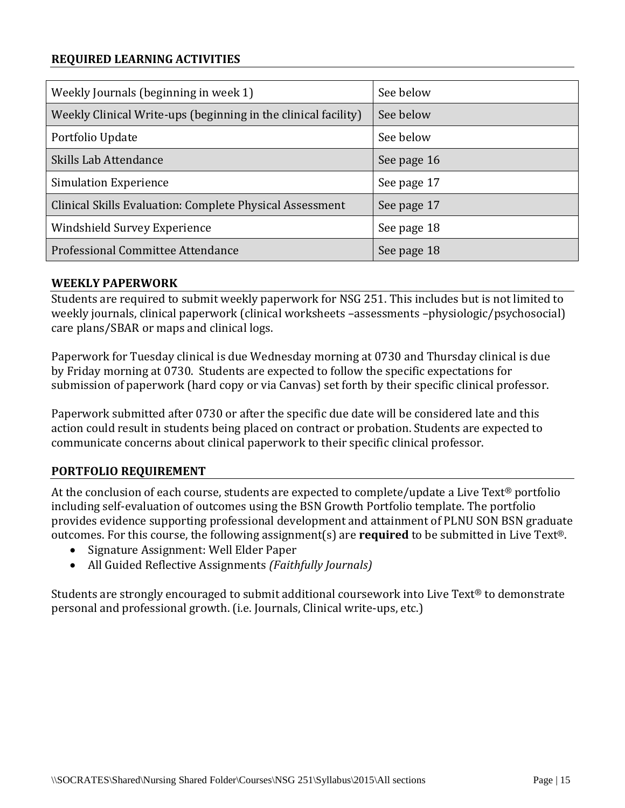#### **REQUIRED LEARNING ACTIVITIES**

| Weekly Journals (beginning in week 1)                          | See below   |
|----------------------------------------------------------------|-------------|
| Weekly Clinical Write-ups (beginning in the clinical facility) | See below   |
| Portfolio Update                                               | See below   |
| Skills Lab Attendance                                          | See page 16 |
| <b>Simulation Experience</b>                                   | See page 17 |
| Clinical Skills Evaluation: Complete Physical Assessment       | See page 17 |
| Windshield Survey Experience                                   | See page 18 |
| Professional Committee Attendance                              | See page 18 |

#### **WEEKLY PAPERWORK**

Students are required to submit weekly paperwork for NSG 251. This includes but is not limited to weekly journals, clinical paperwork (clinical worksheets –assessments –physiologic/psychosocial) care plans/SBAR or maps and clinical logs.

Paperwork for Tuesday clinical is due Wednesday morning at 0730 and Thursday clinical is due by Friday morning at 0730. Students are expected to follow the specific expectations for submission of paperwork (hard copy or via Canvas) set forth by their specific clinical professor.

Paperwork submitted after 0730 or after the specific due date will be considered late and this action could result in students being placed on contract or probation. Students are expected to communicate concerns about clinical paperwork to their specific clinical professor.

#### **PORTFOLIO REQUIREMENT**

At the conclusion of each course, students are expected to complete/update a Live Text® portfolio including self-evaluation of outcomes using the BSN Growth Portfolio template. The portfolio provides evidence supporting professional development and attainment of PLNU SON BSN graduate outcomes. For this course, the following assignment(s) are **required** to be submitted in Live Text®.

- Signature Assignment: Well Elder Paper
- All Guided Reflective Assignments *(Faithfully Journals)*

Students are strongly encouraged to submit additional coursework into Live Text® to demonstrate personal and professional growth. (i.e. Journals, Clinical write-ups, etc.)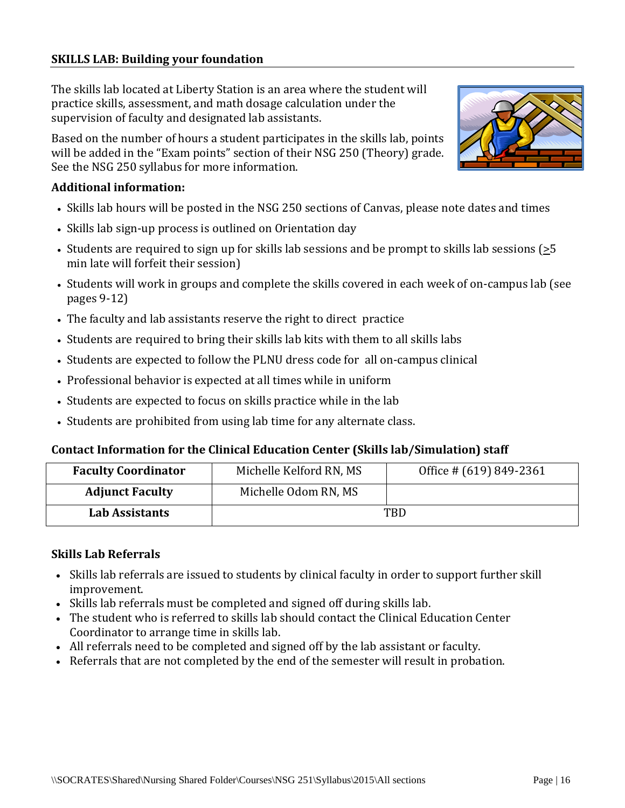#### **SKILLS LAB: Building your foundation**

The skills lab located at Liberty Station is an area where the student will practice skills, assessment, and math dosage calculation under the supervision of faculty and designated lab assistants.

Based on the number of hours a student participates in the skills lab, points will be added in the "Exam points" section of their NSG 250 (Theory) grade. See the NSG 250 syllabus for more information.

#### **Additional information:**

- Skills lab hours will be posted in the NSG 250 sections of Canvas, please note dates and times
- Skills lab sign-up process is outlined on Orientation day
- Students are required to sign up for skills lab sessions and be prompt to skills lab sessions ( $\geq 5$ ) min late will forfeit their session)
- Students will work in groups and complete the skills covered in each week of on-campus lab (see pages 9-12)
- The faculty and lab assistants reserve the right to direct practice
- Students are required to bring their skills lab kits with them to all skills labs
- Students are expected to follow the PLNU dress code for all on-campus clinical
- Professional behavior is expected at all times while in uniform
- Students are expected to focus on skills practice while in the lab
- Students are prohibited from using lab time for any alternate class.

#### **Contact Information for the Clinical Education Center (Skills lab/Simulation) staff**

| <b>Faculty Coordinator</b> | Michelle Kelford RN, MS | Office # (619) 849-2361 |  |  |  |
|----------------------------|-------------------------|-------------------------|--|--|--|
| <b>Adjunct Faculty</b>     | Michelle Odom RN, MS    |                         |  |  |  |
| Lab Assistants             | TBD                     |                         |  |  |  |

#### **Skills Lab Referrals**

- Skills lab referrals are issued to students by clinical faculty in order to support further skill improvement.
- Skills lab referrals must be completed and signed off during skills lab.
- The student who is referred to skills lab should contact the Clinical Education Center Coordinator to arrange time in skills lab.
- All referrals need to be completed and signed off by the lab assistant or faculty.
- Referrals that are not completed by the end of the semester will result in probation.

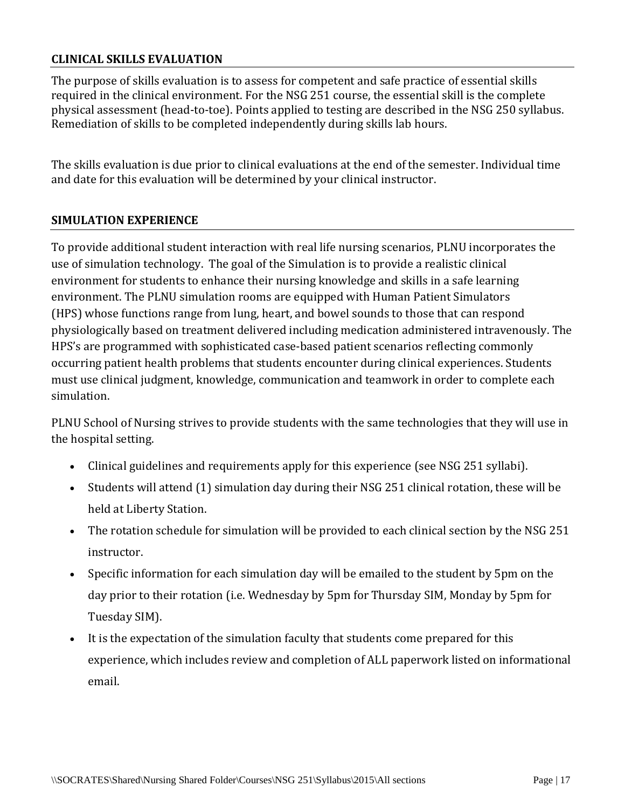#### **CLINICAL SKILLS EVALUATION**

The purpose of skills evaluation is to assess for competent and safe practice of essential skills required in the clinical environment. For the NSG 251 course, the essential skill is the complete physical assessment (head-to-toe). Points applied to testing are described in the NSG 250 syllabus. Remediation of skills to be completed independently during skills lab hours.

The skills evaluation is due prior to clinical evaluations at the end of the semester. Individual time and date for this evaluation will be determined by your clinical instructor.

#### **SIMULATION EXPERIENCE**

To provide additional student interaction with real life nursing scenarios, PLNU incorporates the use of simulation technology. The goal of the Simulation is to provide a realistic clinical environment for students to enhance their nursing knowledge and skills in a safe learning environment. The PLNU simulation rooms are equipped with Human Patient Simulators (HPS) whose functions range from lung, heart, and bowel sounds to those that can respond physiologically based on treatment delivered including medication administered intravenously. The HPS's are programmed with sophisticated case-based patient scenarios reflecting commonly occurring patient health problems that students encounter during clinical experiences. Students must use clinical judgment, knowledge, communication and teamwork in order to complete each simulation.

PLNU School of Nursing strives to provide students with the same technologies that they will use in the hospital setting.

- Clinical guidelines and requirements apply for this experience (see NSG 251 syllabi).
- Students will attend (1) simulation day during their NSG 251 clinical rotation, these will be held at Liberty Station.
- The rotation schedule for simulation will be provided to each clinical section by the NSG 251 instructor.
- Specific information for each simulation day will be emailed to the student by 5pm on the day prior to their rotation (i.e. Wednesday by 5pm for Thursday SIM, Monday by 5pm for Tuesday SIM).
- It is the expectation of the simulation faculty that students come prepared for this experience, which includes review and completion of ALL paperwork listed on informational email.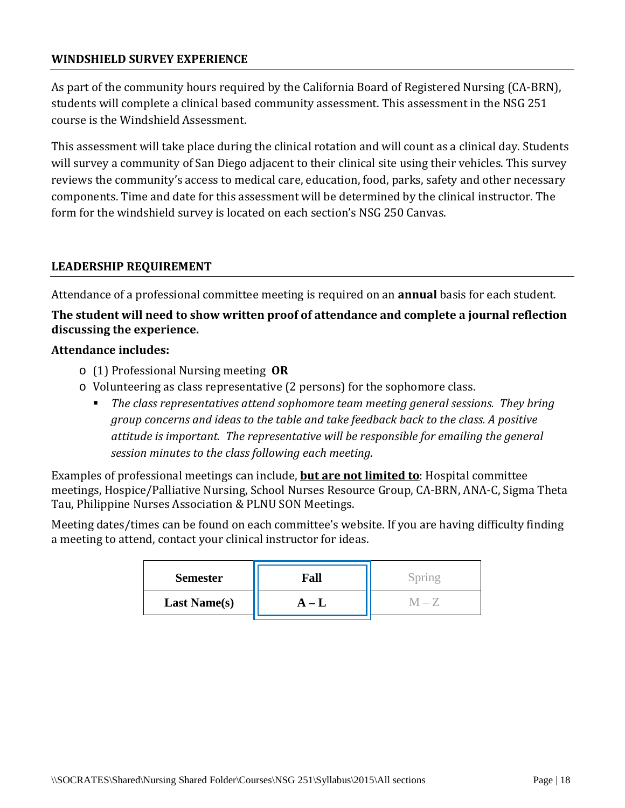#### **WINDSHIELD SURVEY EXPERIENCE**

As part of the community hours required by the California Board of Registered Nursing (CA-BRN), students will complete a clinical based community assessment. This assessment in the NSG 251 course is the Windshield Assessment.

This assessment will take place during the clinical rotation and will count as a clinical day. Students will survey a community of San Diego adjacent to their clinical site using their vehicles. This survey reviews the community's access to medical care, education, food, parks, safety and other necessary components. Time and date for this assessment will be determined by the clinical instructor. The form for the windshield survey is located on each section's NSG 250 Canvas.

#### **LEADERSHIP REQUIREMENT**

Attendance of a professional committee meeting is required on an **annual** basis for each student.

## **The student will need to show written proof of attendance and complete a journal reflection discussing the experience.**

#### **Attendance includes:**

- o (1) Professional Nursing meeting **OR**
- o Volunteering as class representative (2 persons) for the sophomore class.
	- *The class representatives attend sophomore team meeting general sessions. They bring group concerns and ideas to the table and take feedback back to the class. A positive attitude is important. The representative will be responsible for emailing the general session minutes to the class following each meeting.*

Examples of professional meetings can include, **but are not limited to**: Hospital committee meetings, Hospice/Palliative Nursing, School Nurses Resource Group, CA-BRN, ANA-C, Sigma Theta Tau, Philippine Nurses Association & PLNU SON Meetings.

Meeting dates/times can be found on each committee's website. If you are having difficulty finding a meeting to attend, contact your clinical instructor for ideas.

| <b>Semester</b>     | Fall    | pring |
|---------------------|---------|-------|
| <b>Last Name(s)</b> | $A - L$ |       |
|                     |         |       |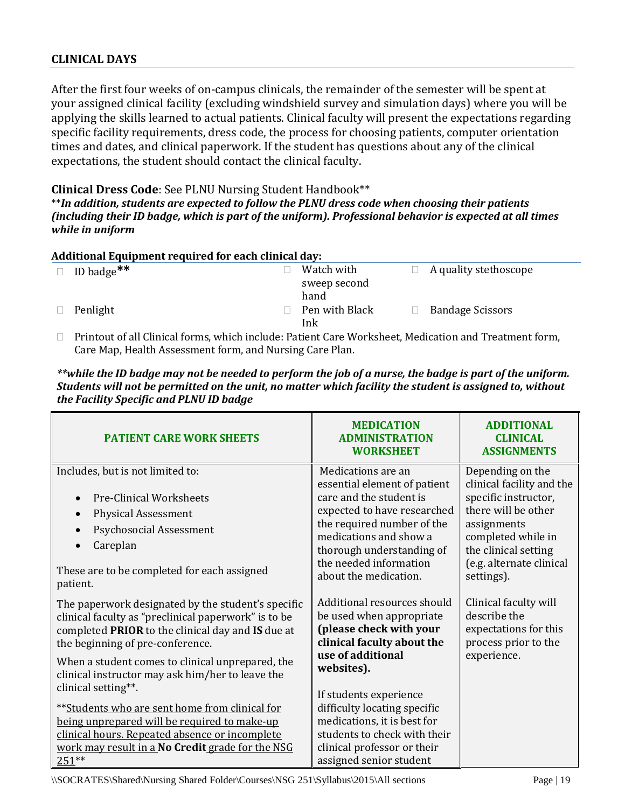### **CLINICAL DAYS**

After the first four weeks of on-campus clinicals, the remainder of the semester will be spent at your assigned clinical facility (excluding windshield survey and simulation days) where you will be applying the skills learned to actual patients. Clinical faculty will present the expectations regarding specific facility requirements, dress code, the process for choosing patients, computer orientation times and dates, and clinical paperwork. If the student has questions about any of the clinical expectations, the student should contact the clinical faculty.

#### **Clinical Dress Code**: See PLNU Nursing Student Handbook\*\*

\*\**In addition, students are expected to follow the PLNU dress code when choosing their patients (including their ID badge, which is part of the uniform). Professional behavior is expected at all times while in uniform*

|        | <b>Additional Equipment required for each clinical day:</b> |  |                                    |  |                         |  |  |  |  |  |  |  |
|--------|-------------------------------------------------------------|--|------------------------------------|--|-------------------------|--|--|--|--|--|--|--|
| $\Box$ | ID badge <sup>**</sup>                                      |  | Watch with<br>sweep second<br>hand |  | A quality stethoscope   |  |  |  |  |  |  |  |
|        | Penlight                                                    |  | Pen with Black<br>Ink              |  | <b>Bandage Scissors</b> |  |  |  |  |  |  |  |

 $\Box$  Printout of all Clinical forms, which include: Patient Care Worksheet, Medication and Treatment form, Care Map, Health Assessment form, and Nursing Care Plan.

| **while the ID badge may not be needed to perform the job of a nurse, the badge is part of the uniform.  |
|----------------------------------------------------------------------------------------------------------|
| Students will not be permitted on the unit, no matter which facility the student is assigned to, without |
| the Facility Specific and PLNU ID badge                                                                  |

| <b>PATIENT CARE WORK SHEETS</b>                                                                                                                                                                                                                                                                                                                                                                                                                                                                                                                        | <b>MEDICATION</b><br><b>ADMINISTRATION</b><br><b>WORKSHEET</b>                                                                                                                                                                                                                                                                         | <b>ADDITIONAL</b><br><b>CLINICAL</b><br><b>ASSIGNMENTS</b>                                                                                                                                          |
|--------------------------------------------------------------------------------------------------------------------------------------------------------------------------------------------------------------------------------------------------------------------------------------------------------------------------------------------------------------------------------------------------------------------------------------------------------------------------------------------------------------------------------------------------------|----------------------------------------------------------------------------------------------------------------------------------------------------------------------------------------------------------------------------------------------------------------------------------------------------------------------------------------|-----------------------------------------------------------------------------------------------------------------------------------------------------------------------------------------------------|
| Includes, but is not limited to:<br><b>Pre-Clinical Worksheets</b><br><b>Physical Assessment</b><br>$\bullet$<br>Psychosocial Assessment<br>Careplan<br>$\bullet$<br>These are to be completed for each assigned<br>patient.                                                                                                                                                                                                                                                                                                                           | Medications are an<br>essential element of patient<br>care and the student is<br>expected to have researched<br>the required number of the<br>medications and show a<br>thorough understanding of<br>the needed information<br>about the medication.                                                                                   | Depending on the<br>clinical facility and the<br>specific instructor,<br>there will be other<br>assignments<br>completed while in<br>the clinical setting<br>(e.g. alternate clinical<br>settings). |
| The paperwork designated by the student's specific<br>clinical faculty as "preclinical paperwork" is to be<br>completed PRIOR to the clinical day and IS due at<br>the beginning of pre-conference.<br>When a student comes to clinical unprepared, the<br>clinical instructor may ask him/her to leave the<br>clinical setting**.<br>** Students who are sent home from clinical for<br>being unprepared will be required to make-up<br>clinical hours. Repeated absence or incomplete<br>work may result in a No Credit grade for the NSG<br>$251**$ | Additional resources should<br>be used when appropriate<br>(please check with your<br>clinical faculty about the<br>use of additional<br>websites).<br>If students experience<br>difficulty locating specific<br>medications, it is best for<br>students to check with their<br>clinical professor or their<br>assigned senior student | Clinical faculty will<br>describe the<br>expectations for this<br>process prior to the<br>experience.                                                                                               |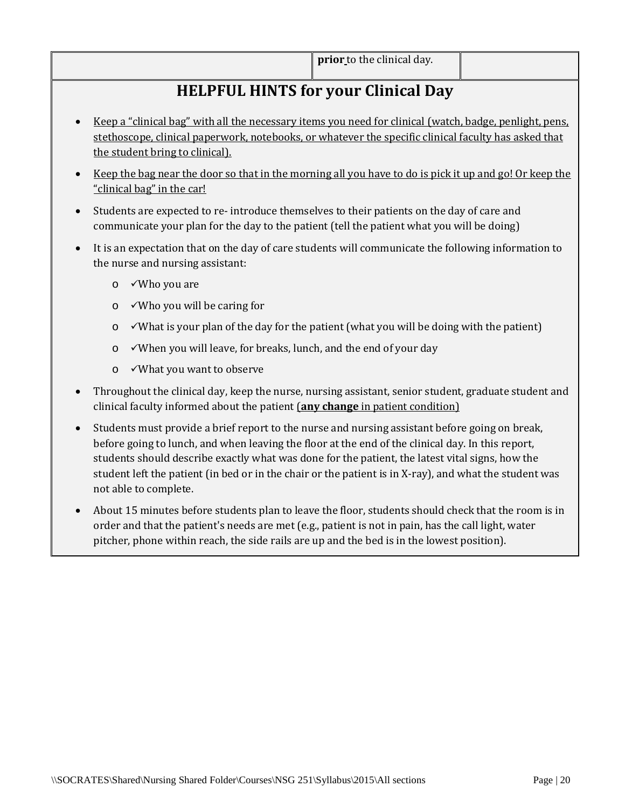# **HELPFUL HINTS for your Clinical Day**

- Keep a "clinical bag" with all the necessary items you need for clinical (watch, badge, penlight, pens, stethoscope, clinical paperwork, notebooks, or whatever the specific clinical faculty has asked that the student bring to clinical).
- Keep the bag near the door so that in the morning all you have to do is pick it up and go! Or keep the "clinical bag" in the car!
- Students are expected to re- introduce themselves to their patients on the day of care and communicate your plan for the day to the patient (tell the patient what you will be doing)
- It is an expectation that on the day of care students will communicate the following information to the nurse and nursing assistant:
	- o Who you are
	- o Who you will be caring for
	- $\circ$   $\checkmark$ What is your plan of the day for the patient (what you will be doing with the patient)
	- o When you will leave, for breaks, lunch, and the end of your day
	- o What you want to observe
- Throughout the clinical day, keep the nurse, nursing assistant, senior student, graduate student and clinical faculty informed about the patient (**any change** in patient condition)
- Students must provide a brief report to the nurse and nursing assistant before going on break, before going to lunch, and when leaving the floor at the end of the clinical day. In this report, students should describe exactly what was done for the patient, the latest vital signs, how the student left the patient (in bed or in the chair or the patient is in X-ray), and what the student was not able to complete.
- About 15 minutes before students plan to leave the floor, students should check that the room is in order and that the patient's needs are met (e.g., patient is not in pain, has the call light, water pitcher, phone within reach, the side rails are up and the bed is in the lowest position).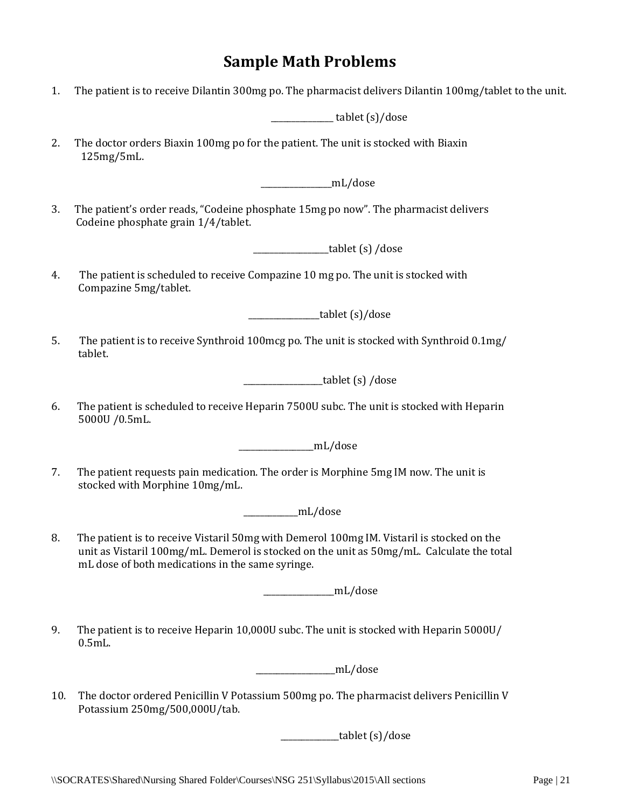# **Sample Math Problems**

| 1. | The patient is to receive Dilantin 300mg po. The pharmacist delivers Dilantin 100mg/tablet to the unit.                                                                                                                                    |
|----|--------------------------------------------------------------------------------------------------------------------------------------------------------------------------------------------------------------------------------------------|
|    | ___________ tablet (s)/dose                                                                                                                                                                                                                |
| 2. | The doctor orders Biaxin 100mg po for the patient. The unit is stocked with Biaxin<br>125mg/5mL.                                                                                                                                           |
|    | _________________mL/dose                                                                                                                                                                                                                   |
| 3. | The patient's order reads, "Codeine phosphate 15mg po now". The pharmacist delivers<br>Codeine phosphate grain 1/4/tablet.                                                                                                                 |
|    | _tablet (s) /dose                                                                                                                                                                                                                          |
| 4. | The patient is scheduled to receive Compazine 10 mg po. The unit is stocked with<br>Compazine 5mg/tablet.                                                                                                                                  |
|    | _tablet (s)/dose                                                                                                                                                                                                                           |
| 5. | The patient is to receive Synthroid 100mcg po. The unit is stocked with Synthroid 0.1mg/<br>tablet.                                                                                                                                        |
|    | $\frac{1}{\sqrt{1-x^2}}$ (ablet (s) /dose                                                                                                                                                                                                  |
| 6. | The patient is scheduled to receive Heparin 7500U subc. The unit is stocked with Heparin<br>5000U /0.5mL.                                                                                                                                  |
|    | _mL/dose                                                                                                                                                                                                                                   |
| 7. | The patient requests pain medication. The order is Morphine 5mg IM now. The unit is<br>stocked with Morphine 10mg/mL.                                                                                                                      |
|    | $-mL/dose$                                                                                                                                                                                                                                 |
| 8. | The patient is to receive Vistaril 50mg with Demerol 100mg IM. Vistaril is stocked on the<br>unit as Vistaril 100mg/mL. Demerol is stocked on the unit as 50mg/mL. Calculate the total<br>mL dose of both medications in the same syringe. |
|    | _________mL/dose                                                                                                                                                                                                                           |
| 9. | The patient is to receive Heparin 10,000U subc. The unit is stocked with Heparin 5000U/<br>$0.5mL$ .                                                                                                                                       |
|    | mL/dose                                                                                                                                                                                                                                    |

10. The doctor ordered Penicillin V Potassium 500mg po. The pharmacist delivers Penicillin V Potassium 250mg/500,000U/tab.

 $\frac{1}{\sqrt{1-\frac{1}{\sqrt{1-\frac{1}{\sqrt{1-\frac{1}{\sqrt{1-\frac{1}{\sqrt{1-\frac{1}{\sqrt{1-\frac{1}{\sqrt{1-\frac{1}{\sqrt{1-\frac{1}{\sqrt{1-\frac{1}{\sqrt{1-\frac{1}{\sqrt{1-\frac{1}{\sqrt{1-\frac{1}{\sqrt{1-\frac{1}{\sqrt{1-\frac{1}{\sqrt{1-\frac{1}{\sqrt{1-\frac{1}{\sqrt{1-\frac{1}{\sqrt{1-\frac{1}{\sqrt{1-\frac{1}{\sqrt{1-\frac{1}{\sqrt{1-\frac{1}{\sqrt{1-\frac{1}{\sqrt{1-\frac{1}{\sqrt{1-\frac{1$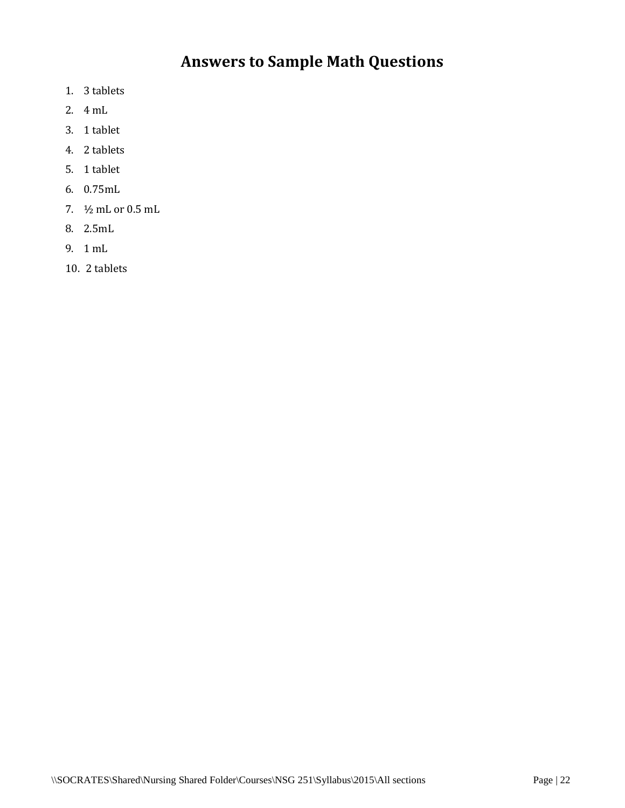# **Answers to Sample Math Questions**

- 1. 3 tablets
- 2. 4 mL
- 3. 1 tablet
- 4. 2 tablets
- 5. 1 tablet
- 6. 0.75mL
- 7. ½ mL or 0.5 mL
- 8. 2.5mL
- 9. 1 mL
- 10. 2 tablets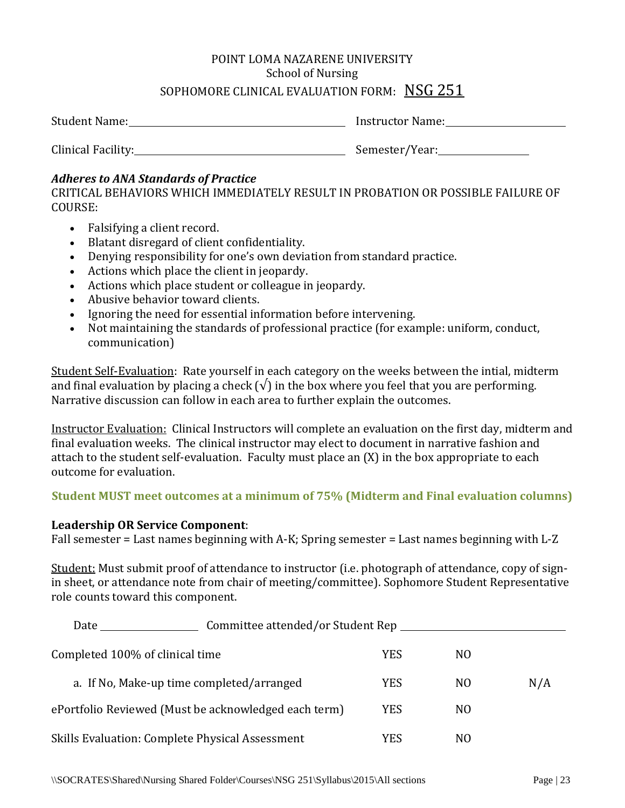## POINT LOMA NAZARENE UNIVERSITY School of Nursing SOPHOMORE CLINICAL EVALUATION FORM: NSG 251

| Student Name:      | Instructor Name: |
|--------------------|------------------|
| Clinical Facility: | Semester/Year:   |

#### *Adheres to ANA Standards of Practice*

CRITICAL BEHAVIORS WHICH IMMEDIATELY RESULT IN PROBATION OR POSSIBLE FAILURE OF COURSE:

- Falsifying a client record.
- Blatant disregard of client confidentiality.
- Denying responsibility for one's own deviation from standard practice.
- Actions which place the client in jeopardy.
- Actions which place student or colleague in jeopardy.
- Abusive behavior toward clients.
- Ignoring the need for essential information before intervening.
- Not maintaining the standards of professional practice (for example: uniform, conduct, communication)

Student Self-Evaluation: Rate yourself in each category on the weeks between the intial, midterm and final evaluation by placing a check  $(\sqrt{\ } )$  in the box where you feel that you are performing. Narrative discussion can follow in each area to further explain the outcomes.

Instructor Evaluation: Clinical Instructors will complete an evaluation on the first day, midterm and final evaluation weeks. The clinical instructor may elect to document in narrative fashion and attach to the student self-evaluation. Faculty must place an (X) in the box appropriate to each outcome for evaluation.

#### **Student MUST meet outcomes at a minimum of 75% (Midterm and Final evaluation columns)**

#### **Leadership OR Service Component**:

Fall semester = Last names beginning with A-K; Spring semester = Last names beginning with L-Z

Student: Must submit proof of attendance to instructor (i.e. photograph of attendance, copy of signin sheet, or attendance note from chair of meeting/committee). Sophomore Student Representative role counts toward this component.

| Committee attended/or Student Rep<br>Date            |            |                |     |
|------------------------------------------------------|------------|----------------|-----|
| Completed 100% of clinical time                      | <b>YES</b> | NO.            |     |
| a. If No, Make-up time completed/arranged            | <b>YES</b> | N <sub>0</sub> | N/A |
| ePortfolio Reviewed (Must be acknowledged each term) | <b>YES</b> | N <sub>0</sub> |     |
| Skills Evaluation: Complete Physical Assessment      | YES        | N <sub>0</sub> |     |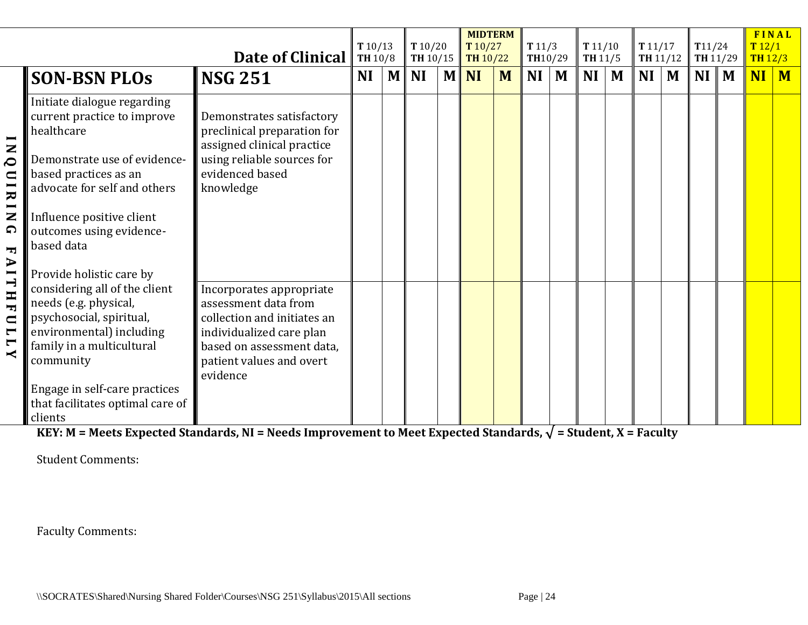|                                                                                                                             |                                                                                                                                                                                                                                                                                                                                                              | Date of Clinical                                                                                                                                                                 | T10/13<br>TH 10/8 |              | T10/20<br><b>TH</b> 10/15 |     | <b>MIDTERM</b><br>T10/27<br><b>TH 10/22</b> |   | T11/3<br>TH10/29 |   | T11/10<br><b>TH 11/5</b> |   | T11/17<br>TH 11/12        |                | T11/24<br>TH 11/29 | FINAL<br>T12/1<br>TH12/3 |  |
|-----------------------------------------------------------------------------------------------------------------------------|--------------------------------------------------------------------------------------------------------------------------------------------------------------------------------------------------------------------------------------------------------------------------------------------------------------------------------------------------------------|----------------------------------------------------------------------------------------------------------------------------------------------------------------------------------|-------------------|--------------|---------------------------|-----|---------------------------------------------|---|------------------|---|--------------------------|---|---------------------------|----------------|--------------------|--------------------------|--|
|                                                                                                                             | <b>SON-BSN PLOS</b>                                                                                                                                                                                                                                                                                                                                          | <b>NSG 251</b>                                                                                                                                                                   | <b>NI</b>         | $\mathbf{M}$ | <b>NI</b>                 | $M$ | <b>NI</b>                                   | M | <b>NI</b>        | M | NI                       | M | NI                        | $\blacksquare$ | $NI$ M             | $NI$ $M$                 |  |
| $\overline{\phantom{0}}$<br>$\mathbf{z}$<br>$\delta$<br>$\Box$<br>IRIN<br>$\Omega$<br>$\mathbf{r}$<br>$\blacktriangleright$ | Initiate dialogue regarding<br>current practice to improve<br>healthcare<br>Demonstrate use of evidence-<br>based practices as an<br>advocate for self and others<br>Influence positive client<br>outcomes using evidence-<br>based data                                                                                                                     | Demonstrates satisfactory<br>preclinical preparation for<br>assigned clinical practice<br>using reliable sources for<br>evidenced based<br>knowledge                             |                   |              |                           |     |                                             |   |                  |   |                          |   |                           |                |                    |                          |  |
| <b>ITHF</b><br>$\blacksquare$<br>$\blacksquare$<br>$\blacksquare$<br>$\prec$                                                | Provide holistic care by<br>considering all of the client<br>needs (e.g. physical,<br>psychosocial, spiritual,<br>environmental) including<br>family in a multicultural<br>community<br>Engage in self-care practices<br>that facilitates optimal care of<br>clients<br>KEV, M - Moote Eynoctod Standarde, NJ - Noode Improvement to Moot Eynoctod Standarde | Incorporates appropriate<br>assessment data from<br>collection and initiates an<br>individualized care plan<br>based on assessment data,<br>patient values and overt<br>evidence |                   |              |                           |     |                                             |   |                  |   |                          |   | $-$ Ctudont $V -$ Faculty |                |                    |                          |  |

Student Comments: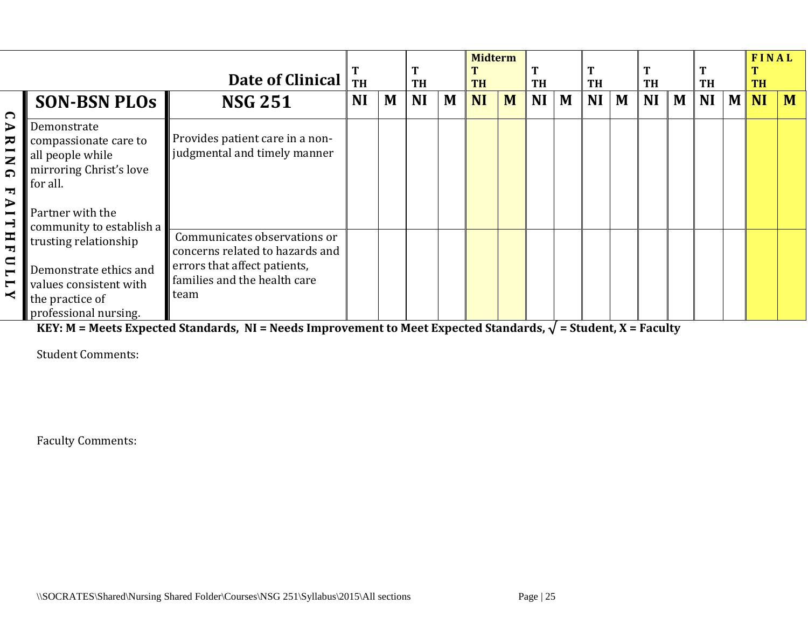|                                                                                                                                                                                            |                                                                                                                                                 | Date of Clinical                                                                                                                        |           | <b>TH</b> |           | T<br><b>TH</b> |           | <b>Midterm</b><br><b>TH</b> |           |   | <b>TH</b> |   | <b>TH</b> |   | <b>TH</b> |              | <b>FINAL</b><br><b>TH</b> |   |
|--------------------------------------------------------------------------------------------------------------------------------------------------------------------------------------------|-------------------------------------------------------------------------------------------------------------------------------------------------|-----------------------------------------------------------------------------------------------------------------------------------------|-----------|-----------|-----------|----------------|-----------|-----------------------------|-----------|---|-----------|---|-----------|---|-----------|--------------|---------------------------|---|
|                                                                                                                                                                                            | <b>SON-BSN PLOS</b>                                                                                                                             | <b>NSG 251</b>                                                                                                                          | <b>NI</b> | M         | <b>NI</b> | M              | <b>NI</b> | M                           | <b>NI</b> | M | <b>NI</b> | M | <b>NI</b> | M | <b>NI</b> | $\mathbf{M}$ | <b>NI</b>                 | M |
| ∩<br>$\blacktriangleright$<br>ᆽ<br>$\mathbf{z}$<br>ດ<br>Ŧ<br>$\blacktriangleright$<br>$\blacksquare$<br>$\rightarrow$<br>Η<br>Ŧ<br>$\blacksquare$<br>$\blacksquare$<br>$\blacksquare$<br>К | Demonstrate<br>compassionate care to<br>all people while<br>mirroring Christ's love<br>for all.<br>Partner with the<br>community to establish a | Provides patient care in a non-<br>judgmental and timely manner                                                                         |           |           |           |                |           |                             |           |   |           |   |           |   |           |              |                           |   |
|                                                                                                                                                                                            | trusting relationship<br>Demonstrate ethics and<br>values consistent with<br>the practice of<br>professional nursing.                           | Communicates observations or<br>concerns related to hazards and<br>errors that affect patients,<br>families and the health care<br>team |           |           |           |                |           |                             |           |   |           |   |           |   |           |              |                           |   |

Student Comments: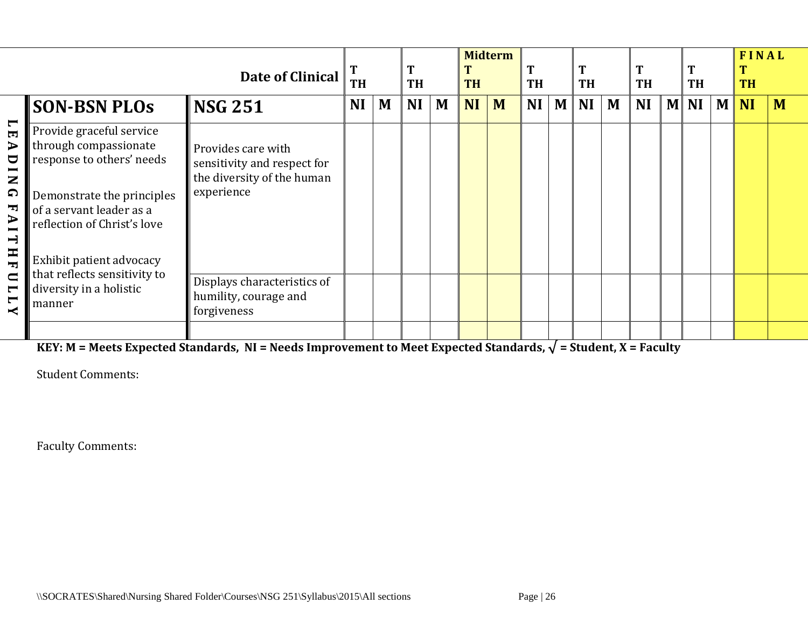|                                                                                                                                                                                                                                      |                                                                                                                                                                                                     | Date of Clinical                                                                              | <b>TH</b> |   | T<br><b>TH</b> |   | <b>TH</b> | <b>Midterm</b> | <b>TH</b> |   | T<br><b>TH</b> |   | <b>TH</b> |              | T<br><b>TH</b> |   | FINAL<br><b>TH</b> |   |
|--------------------------------------------------------------------------------------------------------------------------------------------------------------------------------------------------------------------------------------|-----------------------------------------------------------------------------------------------------------------------------------------------------------------------------------------------------|-----------------------------------------------------------------------------------------------|-----------|---|----------------|---|-----------|----------------|-----------|---|----------------|---|-----------|--------------|----------------|---|--------------------|---|
|                                                                                                                                                                                                                                      | <b>SON-BSN PLOS</b>                                                                                                                                                                                 | $\textsf{INSG} 251$                                                                           | <b>NI</b> | M | <b>NI</b>      | M | <b>NI</b> | M              | <b>NI</b> | M | <b>NI</b>      | M | <b>NI</b> | $\mathbf{M}$ | <b>NI</b>      | M | <b>NI</b>          | M |
| $\blacksquare$<br>$\blacksquare$<br>$\blacktriangleright$<br>$\overline{\mathbf{C}}$<br>$\blacksquare$<br>$\mathbf{z}$<br>$\Omega$<br>$\blacksquare$<br>$\blacktriangleright$<br>$\blacksquare$<br>$\overline{\phantom{0}}$<br>$H$ H | Provide graceful service<br>through compassionate<br>response to others' needs<br>Demonstrate the principles<br>of a servant leader as a<br>reflection of Christ's love<br>Exhibit patient advocacy | Provides care with<br>sensitivity and respect for<br>the diversity of the human<br>experience |           |   |                |   |           |                |           |   |                |   |           |              |                |   |                    |   |
| $\blacksquare$<br>$\blacksquare$<br>$\blacksquare$                                                                                                                                                                                   | that reflects sensitivity to<br>diversity in a holistic<br>manner                                                                                                                                   | Displays characteristics of<br>humility, courage and<br>forgiveness                           |           |   |                |   |           |                |           |   |                |   |           |              |                |   |                    |   |
|                                                                                                                                                                                                                                      |                                                                                                                                                                                                     |                                                                                               |           |   |                |   |           |                |           |   |                |   |           |              |                |   |                    |   |

Student Comments: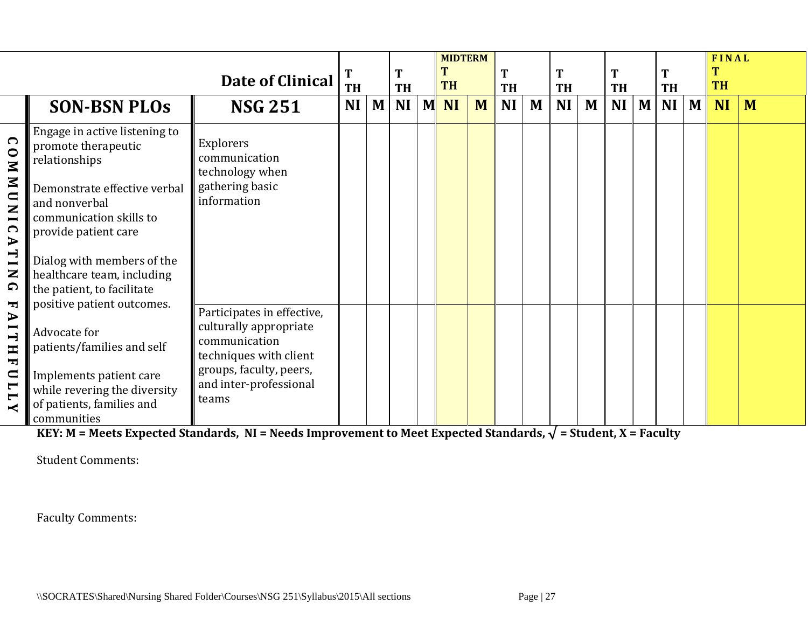|                                                                                                                                            |                                                                                                                                                                                                                                       | Date of Clinical                                                                                                                                              | T<br><b>TH</b> |   | <b>TH</b> |   | <b>MIDTERM</b><br><b>TH</b> |   | T<br><b>TH</b> |   | T<br><b>TH</b> |   | T<br><b>TH</b> |   | T<br><b>TH</b> |   | FINAL<br><b>TH</b> |   |
|--------------------------------------------------------------------------------------------------------------------------------------------|---------------------------------------------------------------------------------------------------------------------------------------------------------------------------------------------------------------------------------------|---------------------------------------------------------------------------------------------------------------------------------------------------------------|----------------|---|-----------|---|-----------------------------|---|----------------|---|----------------|---|----------------|---|----------------|---|--------------------|---|
|                                                                                                                                            | <b>SON-BSN PLOS</b>                                                                                                                                                                                                                   | <b>NSG 251</b>                                                                                                                                                | <b>NI</b>      | M | <b>NI</b> | M | <b>NI</b>                   | M | <b>NI</b>      | M | <b>NI</b>      | M | <b>NI</b>      | M | NI             | M | <b>NI</b>          | M |
| $\bigcap$<br>INNMNO<br>$\Omega$<br>$\blacktriangleright$<br>$\overline{L}$<br>Z<br>$\Omega$                                                | Engage in active listening to<br>promote therapeutic<br>relationships<br>Demonstrate effective verbal<br>and nonverbal<br>communication skills to<br>provide patient care<br>Dialog with members of the<br>healthcare team, including | Explorers<br>communication<br>technology when<br>gathering basic<br>information                                                                               |                |   |           |   |                             |   |                |   |                |   |                |   |                |   |                    |   |
| ᅮ<br>$\blacktriangleright$<br>$\overline{\phantom{0}}$<br>$\mathbf{H}$<br>$\blacksquare$<br>$\overline{\mathbf{u}}$<br>$\blacksquare$<br>≺ | the patient, to facilitate<br>positive patient outcomes.<br>Advocate for<br>patients/families and self<br>Implements patient care<br>while revering the diversity<br>of patients, families and<br>communities                         | Participates in effective,<br>culturally appropriate<br>communication<br>techniques with client<br>groups, faculty, peers,<br>and inter-professional<br>teams |                |   |           |   |                             |   |                |   |                |   |                |   |                |   |                    |   |

Student Comments: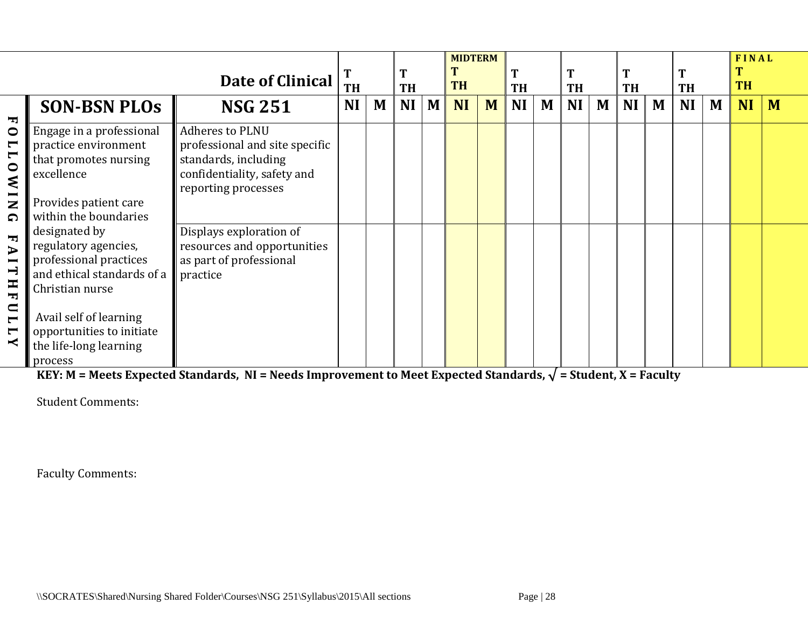|                                                                                                                                                                                                                                                                                                     |                                                                                                                                                                                                                                                                                                                                                           | Date of Clinical                                                                                                                                                                                                                        | <b>TH</b> |   | <b>TH</b> |   | <b>MIDTERM</b><br><b>TH</b> |   | <b>TH</b> |   | <b>TH</b> |   | T<br>TH   |   | <b>TH</b> |   | FINAL<br><b>TH</b> |   |
|-----------------------------------------------------------------------------------------------------------------------------------------------------------------------------------------------------------------------------------------------------------------------------------------------------|-----------------------------------------------------------------------------------------------------------------------------------------------------------------------------------------------------------------------------------------------------------------------------------------------------------------------------------------------------------|-----------------------------------------------------------------------------------------------------------------------------------------------------------------------------------------------------------------------------------------|-----------|---|-----------|---|-----------------------------|---|-----------|---|-----------|---|-----------|---|-----------|---|--------------------|---|
|                                                                                                                                                                                                                                                                                                     | <b>SON-BSN PLOS</b>                                                                                                                                                                                                                                                                                                                                       | <b>NSG 251</b>                                                                                                                                                                                                                          | <b>NI</b> | M | NI        | M | <b>NI</b>                   | M | <b>NI</b> | M | <b>NI</b> | M | <b>NI</b> | M | <b>NI</b> | M | <b>NI</b>          | M |
| $\overline{\phantom{a}}$<br>$\bullet$<br>$\blacksquare$<br>$\blacksquare$<br>$\circ$<br>₹<br>$\overline{\mathbf{N}}$<br>$\Omega$<br>$\blacksquare$<br>$\blacksquare$<br>$\overline{\phantom{0}}$<br>$\mathbf{H}$<br>$\blacksquare$<br>$\blacksquare$<br>$\blacksquare$<br>$\blacksquare$<br>$\prec$ | Engage in a professional<br>practice environment<br>that promotes nursing<br>excellence<br>Provides patient care<br>within the boundaries<br>designated by<br>regulatory agencies,<br>professional practices<br>and ethical standards of a<br>Christian nurse<br>Avail self of learning<br>opportunities to initiate<br>the life-long learning<br>process | <b>Adheres to PLNU</b><br>professional and site specific<br>standards, including<br>confidentiality, safety and<br>reporting processes<br>Displays exploration of<br>resources and opportunities<br>as part of professional<br>practice |           |   |           |   |                             |   |           |   |           |   |           |   |           |   |                    |   |

Student Comments: